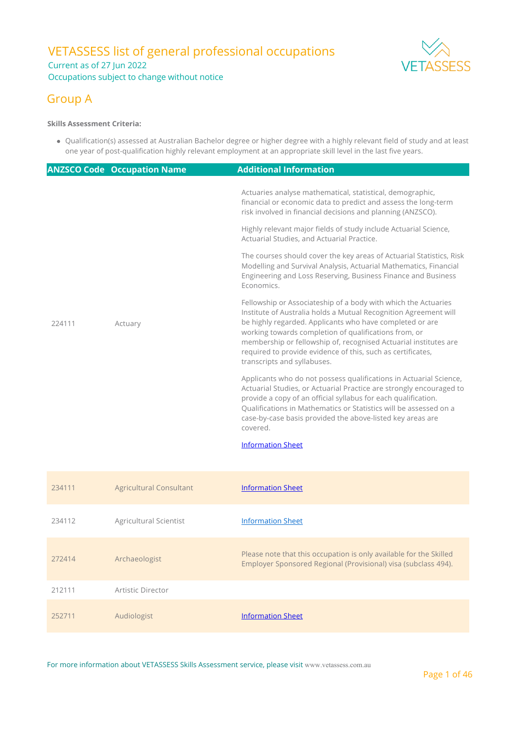### VETASSESS list of general professional occupations Current as of 27 Jun 2022 Occupations subject to change without notice



### Group A

#### **Skills Assessment Criteria:**

212111 Artistic Director

Qualification(s) assessed at Australian Bachelor degree or higher degree with a highly relevant field of study and at least one year of post-qualification highly relevant employment at an appropriate skill level in the last five years.

|        | <b>ANZSCO Code Occupation Name</b> | <b>Additional Information</b>                                                                                                                                                                                                                                                                                                                                                                                             |
|--------|------------------------------------|---------------------------------------------------------------------------------------------------------------------------------------------------------------------------------------------------------------------------------------------------------------------------------------------------------------------------------------------------------------------------------------------------------------------------|
|        |                                    | Actuaries analyse mathematical, statistical, demographic,<br>financial or economic data to predict and assess the long-term<br>risk involved in financial decisions and planning (ANZSCO).                                                                                                                                                                                                                                |
|        |                                    | Highly relevant major fields of study include Actuarial Science,<br>Actuarial Studies, and Actuarial Practice.                                                                                                                                                                                                                                                                                                            |
| 224111 | Actuary                            | The courses should cover the key areas of Actuarial Statistics, Risk<br>Modelling and Survival Analysis, Actuarial Mathematics, Financial<br>Engineering and Loss Reserving, Business Finance and Business<br>Economics.                                                                                                                                                                                                  |
|        |                                    | Fellowship or Associateship of a body with which the Actuaries<br>Institute of Australia holds a Mutual Recognition Agreement will<br>be highly regarded. Applicants who have completed or are<br>working towards completion of qualifications from, or<br>membership or fellowship of, recognised Actuarial institutes are<br>required to provide evidence of this, such as certificates,<br>transcripts and syllabuses. |
|        |                                    | Applicants who do not possess qualifications in Actuarial Science,<br>Actuarial Studies, or Actuarial Practice are strongly encouraged to<br>provide a copy of an official syllabus for each qualification.<br>Qualifications in Mathematics or Statistics will be assessed on a<br>case-by-case basis provided the above-listed key areas are<br>covered.<br><b>Information Sheet</b>                                    |
| 234111 | <b>Agricultural Consultant</b>     | <b>Information Sheet</b>                                                                                                                                                                                                                                                                                                                                                                                                  |
| 234112 | Agricultural Scientist             | <b>Information Sheet</b>                                                                                                                                                                                                                                                                                                                                                                                                  |
| 272414 | Archaeologist                      | Please note that this occupation is only available for the Skilled<br>Employer Sponsored Regional (Provisional) visa (subclass 494).                                                                                                                                                                                                                                                                                      |

252711 Audiologist **[Information Sheet](https://www.vetassess.com.au/Portals/0/Downloads/qualification_assessment/SRGO%20Infosheet_Audiologist.pdf?ver=2021-04-29-154214-087)**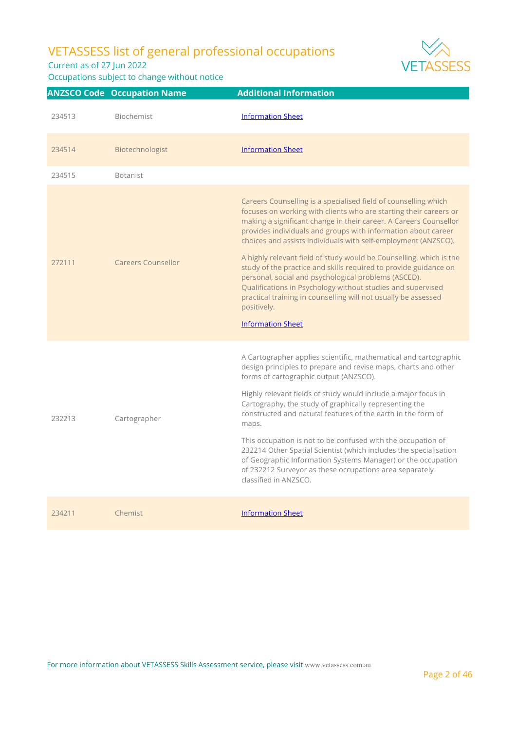Current as of 27 Jun 2022



|        | <b>ANZSCO Code Occupation Name</b> | <b>Additional Information</b>                                                                                                                                                                                                                                                                                                                                                                                                                                                                                                                                                                                                                                                                                               |
|--------|------------------------------------|-----------------------------------------------------------------------------------------------------------------------------------------------------------------------------------------------------------------------------------------------------------------------------------------------------------------------------------------------------------------------------------------------------------------------------------------------------------------------------------------------------------------------------------------------------------------------------------------------------------------------------------------------------------------------------------------------------------------------------|
| 234513 | <b>Biochemist</b>                  | <b>Information Sheet</b>                                                                                                                                                                                                                                                                                                                                                                                                                                                                                                                                                                                                                                                                                                    |
| 234514 | Biotechnologist                    | <b>Information Sheet</b>                                                                                                                                                                                                                                                                                                                                                                                                                                                                                                                                                                                                                                                                                                    |
| 234515 | <b>Botanist</b>                    |                                                                                                                                                                                                                                                                                                                                                                                                                                                                                                                                                                                                                                                                                                                             |
| 272111 | <b>Careers Counsellor</b>          | Careers Counselling is a specialised field of counselling which<br>focuses on working with clients who are starting their careers or<br>making a significant change in their career. A Careers Counsellor<br>provides individuals and groups with information about career<br>choices and assists individuals with self-employment (ANZSCO).<br>A highly relevant field of study would be Counselling, which is the<br>study of the practice and skills required to provide guidance on<br>personal, social and psychological problems (ASCED).<br>Qualifications in Psychology without studies and supervised<br>practical training in counselling will not usually be assessed<br>positively.<br><b>Information Sheet</b> |
| 232213 | Cartographer                       | A Cartographer applies scientific, mathematical and cartographic<br>design principles to prepare and revise maps, charts and other<br>forms of cartographic output (ANZSCO).<br>Highly relevant fields of study would include a major focus in<br>Cartography, the study of graphically representing the<br>constructed and natural features of the earth in the form of<br>maps.<br>This occupation is not to be confused with the occupation of<br>232214 Other Spatial Scientist (which includes the specialisation<br>of Geographic Information Systems Manager) or the occupation<br>of 232212 Surveyor as these occupations area separately<br>classified in ANZSCO.                                                  |
| 234211 | Chemist                            | <b>Information Sheet</b>                                                                                                                                                                                                                                                                                                                                                                                                                                                                                                                                                                                                                                                                                                    |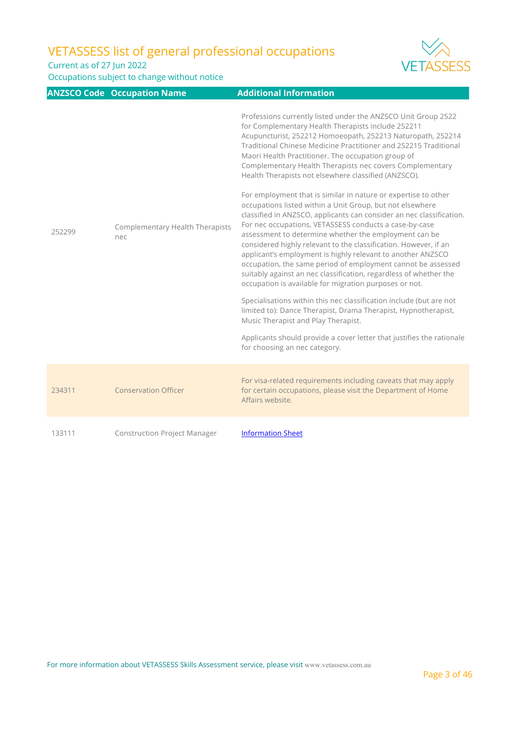Current as of 27 Jun 2022



|        | <b>ANZSCO Code Occupation Name</b>            | <b>Additional Information</b>                                                                                                                                                                                                                                                                                                                                                                                                                                                                                                                                                                                                                                                                                                                                                                                                                                                                                                                                                                                                                                                                                                                                                                                                                                                                                                                                                          |
|--------|-----------------------------------------------|----------------------------------------------------------------------------------------------------------------------------------------------------------------------------------------------------------------------------------------------------------------------------------------------------------------------------------------------------------------------------------------------------------------------------------------------------------------------------------------------------------------------------------------------------------------------------------------------------------------------------------------------------------------------------------------------------------------------------------------------------------------------------------------------------------------------------------------------------------------------------------------------------------------------------------------------------------------------------------------------------------------------------------------------------------------------------------------------------------------------------------------------------------------------------------------------------------------------------------------------------------------------------------------------------------------------------------------------------------------------------------------|
| 252299 | <b>Complementary Health Therapists</b><br>nec | Professions currently listed under the ANZSCO Unit Group 2522<br>for Complementary Health Therapists include 252211<br>Acupuncturist, 252212 Homoeopath, 252213 Naturopath, 252214<br>Traditional Chinese Medicine Practitioner and 252215 Traditional<br>Maori Health Practitioner. The occupation group of<br>Complementary Health Therapists nec covers Complementary<br>Health Therapists not elsewhere classified (ANZSCO).<br>For employment that is similar in nature or expertise to other<br>occupations listed within a Unit Group, but not elsewhere<br>classified in ANZSCO, applicants can consider an nec classification.<br>For nec occupations, VETASSESS conducts a case-by-case<br>assessment to determine whether the employment can be<br>considered highly relevant to the classification. However, if an<br>applicant's employment is highly relevant to another ANZSCO<br>occupation, the same period of employment cannot be assessed<br>suitably against an nec classification, regardless of whether the<br>occupation is available for migration purposes or not.<br>Specialisations within this nec classification include (but are not<br>limited to): Dance Therapist, Drama Therapist, Hypnotherapist,<br>Music Therapist and Play Therapist.<br>Applicants should provide a cover letter that justifies the rationale<br>for choosing an nec category. |
| 234311 | <b>Conservation Officer</b>                   | For visa-related requirements including caveats that may apply<br>for certain occupations, please visit the Department of Home<br>Affairs website.                                                                                                                                                                                                                                                                                                                                                                                                                                                                                                                                                                                                                                                                                                                                                                                                                                                                                                                                                                                                                                                                                                                                                                                                                                     |
| 133111 | <b>Construction Project Manager</b>           | <b>Information Sheet</b>                                                                                                                                                                                                                                                                                                                                                                                                                                                                                                                                                                                                                                                                                                                                                                                                                                                                                                                                                                                                                                                                                                                                                                                                                                                                                                                                                               |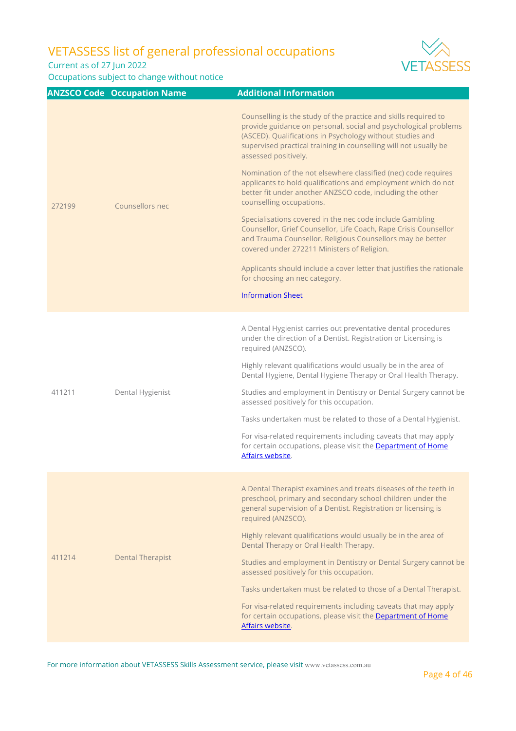Current as of 27 Jun 2022



|        | <b>ANZSCO Code Occupation Name</b> | <b>Additional Information</b>                                                                                                                                                                                                                                                                                                                                                                                                                                                                                                                                                                                                                                                                                                                                                                                                                                                                              |
|--------|------------------------------------|------------------------------------------------------------------------------------------------------------------------------------------------------------------------------------------------------------------------------------------------------------------------------------------------------------------------------------------------------------------------------------------------------------------------------------------------------------------------------------------------------------------------------------------------------------------------------------------------------------------------------------------------------------------------------------------------------------------------------------------------------------------------------------------------------------------------------------------------------------------------------------------------------------|
| 272199 | Counsellors nec                    | Counselling is the study of the practice and skills required to<br>provide guidance on personal, social and psychological problems<br>(ASCED). Qualifications in Psychology without studies and<br>supervised practical training in counselling will not usually be<br>assessed positively.<br>Nomination of the not elsewhere classified (nec) code requires<br>applicants to hold qualifications and employment which do not<br>better fit under another ANZSCO code, including the other<br>counselling occupations.<br>Specialisations covered in the nec code include Gambling<br>Counsellor, Grief Counsellor, Life Coach, Rape Crisis Counsellor<br>and Trauma Counsellor. Religious Counsellors may be better<br>covered under 272211 Ministers of Religion.<br>Applicants should include a cover letter that justifies the rationale<br>for choosing an nec category.<br><b>Information Sheet</b> |
| 411211 | Dental Hygienist                   | A Dental Hygienist carries out preventative dental procedures<br>under the direction of a Dentist. Registration or Licensing is<br>required (ANZSCO).<br>Highly relevant qualifications would usually be in the area of<br>Dental Hygiene, Dental Hygiene Therapy or Oral Health Therapy.<br>Studies and employment in Dentistry or Dental Surgery cannot be<br>assessed positively for this occupation.<br>Tasks undertaken must be related to those of a Dental Hygienist.<br>For visa-related requirements including caveats that may apply<br>for certain occupations, please visit the Department of Home<br>Affairs website.                                                                                                                                                                                                                                                                         |
| 411214 | <b>Dental Therapist</b>            | A Dental Therapist examines and treats diseases of the teeth in<br>preschool, primary and secondary school children under the<br>general supervision of a Dentist. Registration or licensing is<br>required (ANZSCO).<br>Highly relevant qualifications would usually be in the area of<br>Dental Therapy or Oral Health Therapy.<br>Studies and employment in Dentistry or Dental Surgery cannot be<br>assessed positively for this occupation.<br>Tasks undertaken must be related to those of a Dental Therapist.<br>For visa-related requirements including caveats that may apply<br>for certain occupations, please visit the Department of Home<br>Affairs website.                                                                                                                                                                                                                                 |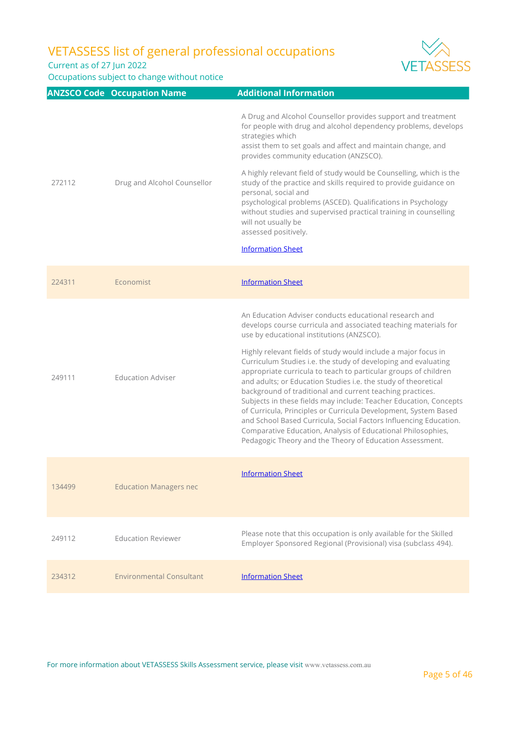Current as of 27 Jun 2022

Occupations subject to change without notice



|        | <b>ANZSCO Code Occupation Name</b> | <b>Additional Information</b>                                                                                                                                                                                                                                                                                                                                                                                                                                                                                                                                                                                                                                                                                                                                                                                                                         |
|--------|------------------------------------|-------------------------------------------------------------------------------------------------------------------------------------------------------------------------------------------------------------------------------------------------------------------------------------------------------------------------------------------------------------------------------------------------------------------------------------------------------------------------------------------------------------------------------------------------------------------------------------------------------------------------------------------------------------------------------------------------------------------------------------------------------------------------------------------------------------------------------------------------------|
|        |                                    | A Drug and Alcohol Counsellor provides support and treatment<br>for people with drug and alcohol dependency problems, develops<br>strategies which<br>assist them to set goals and affect and maintain change, and<br>provides community education (ANZSCO).                                                                                                                                                                                                                                                                                                                                                                                                                                                                                                                                                                                          |
| 272112 | Drug and Alcohol Counsellor        | A highly relevant field of study would be Counselling, which is the<br>study of the practice and skills required to provide guidance on<br>personal, social and<br>psychological problems (ASCED). Qualifications in Psychology<br>without studies and supervised practical training in counselling<br>will not usually be<br>assessed positively.<br><b>Information Sheet</b>                                                                                                                                                                                                                                                                                                                                                                                                                                                                        |
| 224311 | Economist                          | <b>Information Sheet</b>                                                                                                                                                                                                                                                                                                                                                                                                                                                                                                                                                                                                                                                                                                                                                                                                                              |
| 249111 | <b>Education Adviser</b>           | An Education Adviser conducts educational research and<br>develops course curricula and associated teaching materials for<br>use by educational institutions (ANZSCO).<br>Highly relevant fields of study would include a major focus in<br>Curriculum Studies i.e. the study of developing and evaluating<br>appropriate curricula to teach to particular groups of children<br>and adults; or Education Studies i.e. the study of theoretical<br>background of traditional and current teaching practices.<br>Subjects in these fields may include: Teacher Education, Concepts<br>of Curricula, Principles or Curricula Development, System Based<br>and School Based Curricula, Social Factors Influencing Education.<br>Comparative Education, Analysis of Educational Philosophies,<br>Pedagogic Theory and the Theory of Education Assessment. |
| 134499 | <b>Education Managers nec</b>      | <b>Information Sheet</b>                                                                                                                                                                                                                                                                                                                                                                                                                                                                                                                                                                                                                                                                                                                                                                                                                              |
| 249112 | <b>Education Reviewer</b>          | Please note that this occupation is only available for the Skilled<br>Employer Sponsored Regional (Provisional) visa (subclass 494).                                                                                                                                                                                                                                                                                                                                                                                                                                                                                                                                                                                                                                                                                                                  |
| 234312 | <b>Environmental Consultant</b>    | <b>Information Sheet</b>                                                                                                                                                                                                                                                                                                                                                                                                                                                                                                                                                                                                                                                                                                                                                                                                                              |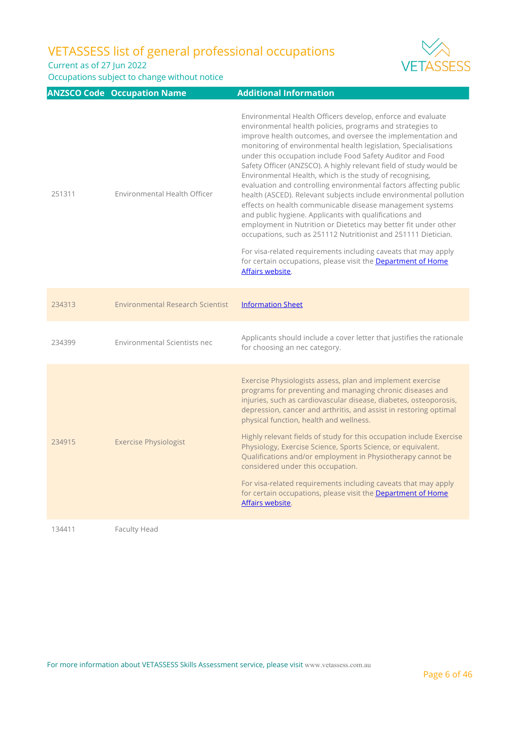Current as of 27 Jun 2022

Occupations subject to change without notice



|        | <b>ANZSCO Code Occupation Name</b>      | <b>Additional Information</b>                                                                                                                                                                                                                                                                                                                                                                                                                                                                                                                                                                                                                                                                                                                                                                                                                                                                                                                                                                                          |
|--------|-----------------------------------------|------------------------------------------------------------------------------------------------------------------------------------------------------------------------------------------------------------------------------------------------------------------------------------------------------------------------------------------------------------------------------------------------------------------------------------------------------------------------------------------------------------------------------------------------------------------------------------------------------------------------------------------------------------------------------------------------------------------------------------------------------------------------------------------------------------------------------------------------------------------------------------------------------------------------------------------------------------------------------------------------------------------------|
| 251311 | Environmental Health Officer            | Environmental Health Officers develop, enforce and evaluate<br>environmental health policies, programs and strategies to<br>improve health outcomes, and oversee the implementation and<br>monitoring of environmental health legislation, Specialisations<br>under this occupation include Food Safety Auditor and Food<br>Safety Officer (ANZSCO). A highly relevant field of study would be<br>Environmental Health, which is the study of recognising,<br>evaluation and controlling environmental factors affecting public<br>health (ASCED). Relevant subjects include environmental pollution<br>effects on health communicable disease management systems<br>and public hygiene. Applicants with qualifications and<br>employment in Nutrition or Dietetics may better fit under other<br>occupations, such as 251112 Nutritionist and 251111 Dietician.<br>For visa-related requirements including caveats that may apply<br>for certain occupations, please visit the Department of Home<br>Affairs website. |
| 234313 | <b>Environmental Research Scientist</b> | <b>Information Sheet</b>                                                                                                                                                                                                                                                                                                                                                                                                                                                                                                                                                                                                                                                                                                                                                                                                                                                                                                                                                                                               |
| 234399 | Environmental Scientists nec            | Applicants should include a cover letter that justifies the rationale<br>for choosing an nec category.                                                                                                                                                                                                                                                                                                                                                                                                                                                                                                                                                                                                                                                                                                                                                                                                                                                                                                                 |
| 234915 | <b>Exercise Physiologist</b>            | Exercise Physiologists assess, plan and implement exercise<br>programs for preventing and managing chronic diseases and<br>injuries, such as cardiovascular disease, diabetes, osteoporosis,<br>depression, cancer and arthritis, and assist in restoring optimal<br>physical function, health and wellness.<br>Highly relevant fields of study for this occupation include Exercise<br>Physiology, Exercise Science, Sports Science, or equivalent.<br>Qualifications and/or employment in Physiotherapy cannot be<br>considered under this occupation.<br>For visa-related requirements including caveats that may apply<br>for certain occupations, please visit the Department of Home<br>Affairs website.                                                                                                                                                                                                                                                                                                         |

134411 Faculty Head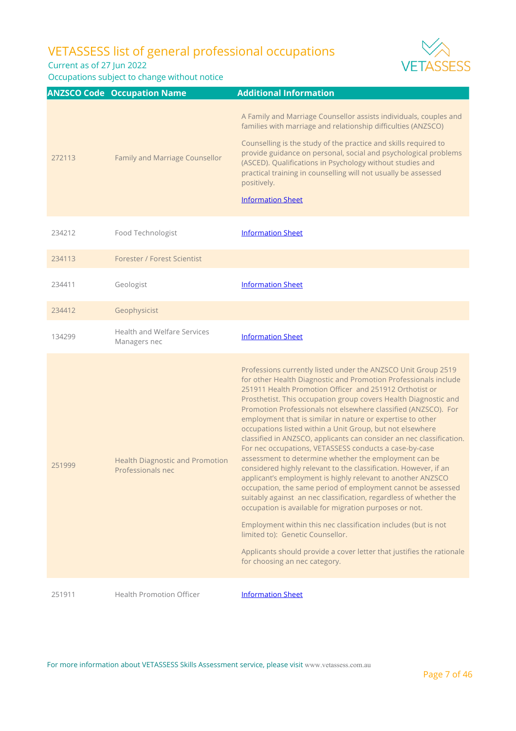Current as of 27 Jun 2022



| 272113 | Family and Marriage Counsellor                              | A Family and Marriage Counsellor assists individuals, couples and<br>families with marriage and relationship difficulties (ANZSCO)<br>Counselling is the study of the practice and skills required to<br>provide guidance on personal, social and psychological problems<br>(ASCED). Qualifications in Psychology without studies and<br>practical training in counselling will not usually be assessed<br>positively.<br><b>Information Sheet</b>                                                                                                                                                                                                                                                                                                                                                                                                                                                                                                                                                                                                         |
|--------|-------------------------------------------------------------|------------------------------------------------------------------------------------------------------------------------------------------------------------------------------------------------------------------------------------------------------------------------------------------------------------------------------------------------------------------------------------------------------------------------------------------------------------------------------------------------------------------------------------------------------------------------------------------------------------------------------------------------------------------------------------------------------------------------------------------------------------------------------------------------------------------------------------------------------------------------------------------------------------------------------------------------------------------------------------------------------------------------------------------------------------|
| 234212 | Food Technologist                                           | <b>Information Sheet</b>                                                                                                                                                                                                                                                                                                                                                                                                                                                                                                                                                                                                                                                                                                                                                                                                                                                                                                                                                                                                                                   |
| 234113 | Forester / Forest Scientist                                 |                                                                                                                                                                                                                                                                                                                                                                                                                                                                                                                                                                                                                                                                                                                                                                                                                                                                                                                                                                                                                                                            |
| 234411 | Geologist                                                   | <b>Information Sheet</b>                                                                                                                                                                                                                                                                                                                                                                                                                                                                                                                                                                                                                                                                                                                                                                                                                                                                                                                                                                                                                                   |
| 234412 | Geophysicist                                                |                                                                                                                                                                                                                                                                                                                                                                                                                                                                                                                                                                                                                                                                                                                                                                                                                                                                                                                                                                                                                                                            |
| 134299 | Health and Welfare Services<br>Managers nec                 | <b>Information Sheet</b>                                                                                                                                                                                                                                                                                                                                                                                                                                                                                                                                                                                                                                                                                                                                                                                                                                                                                                                                                                                                                                   |
| 251999 | <b>Health Diagnostic and Promotion</b><br>Professionals nec | Professions currently listed under the ANZSCO Unit Group 2519<br>for other Health Diagnostic and Promotion Professionals include<br>251911 Health Promotion Officer and 251912 Orthotist or<br>Prosthetist. This occupation group covers Health Diagnostic and<br>Promotion Professionals not elsewhere classified (ANZSCO). For<br>employment that is similar in nature or expertise to other<br>occupations listed within a Unit Group, but not elsewhere<br>classified in ANZSCO, applicants can consider an nec classification.<br>For nec occupations, VETASSESS conducts a case-by-case<br>assessment to determine whether the employment can be<br>considered highly relevant to the classification. However, if an<br>applicant's employment is highly relevant to another ANZSCO<br>occupation, the same period of employment cannot be assessed<br>suitably against an nec classification, regardless of whether the<br>occupation is available for migration purposes or not.<br>Employment within this nec classification includes (but is not |
|        |                                                             | limited to): Genetic Counsellor.<br>Applicants should provide a cover letter that justifies the rationale<br>for choosing an nec category.                                                                                                                                                                                                                                                                                                                                                                                                                                                                                                                                                                                                                                                                                                                                                                                                                                                                                                                 |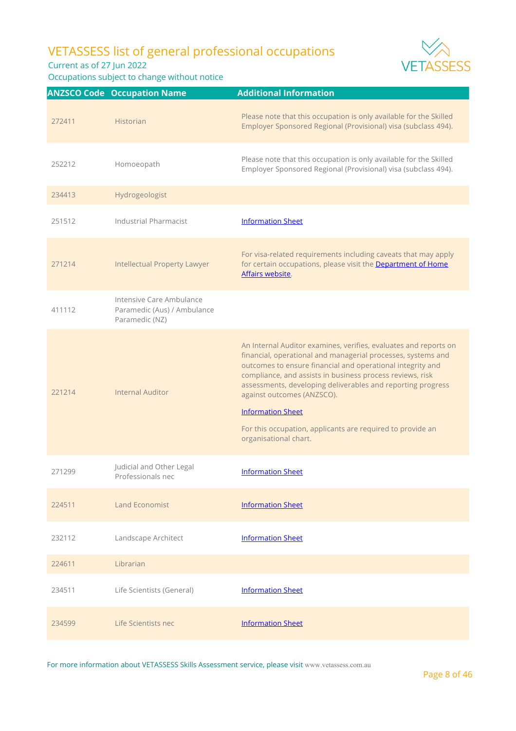Current as of 27 Jun 2022

Occupations subject to change without notice



For more information about VETASSESS Skills Assessment service, please visit [www.vetassess.com.au](http://www.vetassess.com.au)



Page 8 of 46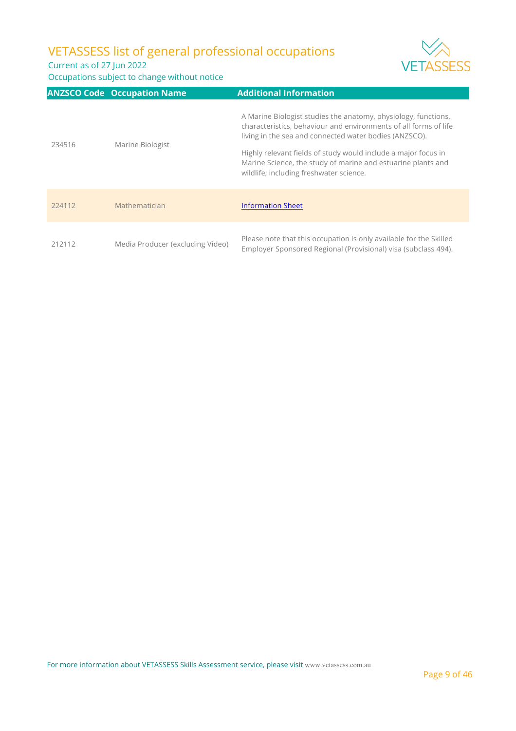Current as of 27 Jun 2022



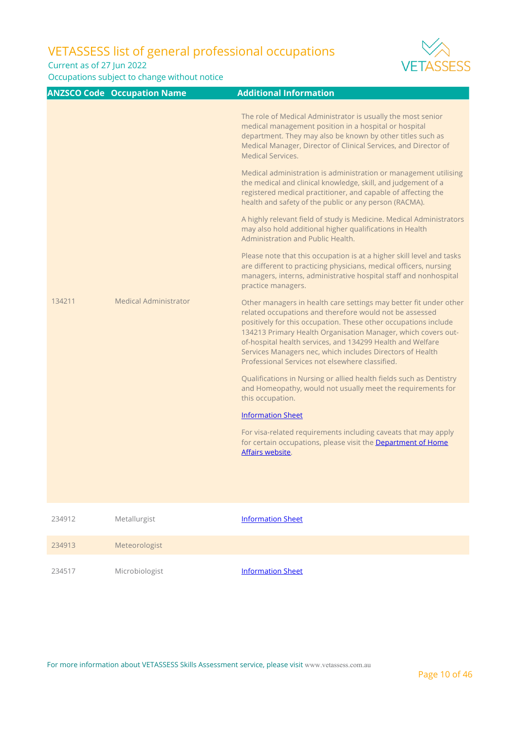Current as of 27 Jun 2022

Occupations subject to change without notice



|        | <b>ANZSCO Code Occupation Name</b> | <b>Additional Information</b>                                                                                                                                                                                                                                                                                                                                                                                                                  |
|--------|------------------------------------|------------------------------------------------------------------------------------------------------------------------------------------------------------------------------------------------------------------------------------------------------------------------------------------------------------------------------------------------------------------------------------------------------------------------------------------------|
|        |                                    | The role of Medical Administrator is usually the most senior<br>medical management position in a hospital or hospital<br>department. They may also be known by other titles such as<br>Medical Manager, Director of Clinical Services, and Director of<br>Medical Services.                                                                                                                                                                    |
|        |                                    | Medical administration is administration or management utilising<br>the medical and clinical knowledge, skill, and judgement of a<br>registered medical practitioner, and capable of affecting the<br>health and safety of the public or any person (RACMA).                                                                                                                                                                                   |
|        |                                    | A highly relevant field of study is Medicine. Medical Administrators<br>may also hold additional higher qualifications in Health<br>Administration and Public Health.                                                                                                                                                                                                                                                                          |
|        |                                    | Please note that this occupation is at a higher skill level and tasks<br>are different to practicing physicians, medical officers, nursing<br>managers, interns, administrative hospital staff and nonhospital<br>practice managers.                                                                                                                                                                                                           |
| 134211 | <b>Medical Administrator</b>       | Other managers in health care settings may better fit under other<br>related occupations and therefore would not be assessed<br>positively for this occupation. These other occupations include<br>134213 Primary Health Organisation Manager, which covers out-<br>of-hospital health services, and 134299 Health and Welfare<br>Services Managers nec, which includes Directors of Health<br>Professional Services not elsewhere classified. |
|        |                                    | Qualifications in Nursing or allied health fields such as Dentistry<br>and Homeopathy, would not usually meet the requirements for<br>this occupation.                                                                                                                                                                                                                                                                                         |
|        |                                    | <b>Information Sheet</b>                                                                                                                                                                                                                                                                                                                                                                                                                       |
|        |                                    | For visa-related requirements including caveats that may apply<br>for certain occupations, please visit the Department of Home<br>Affairs website.                                                                                                                                                                                                                                                                                             |
| 234912 | Metallurgist                       | <b>Information Sheet</b>                                                                                                                                                                                                                                                                                                                                                                                                                       |

234913 Meteorologist 234517 Microbiologist **[Information Sheet](https://www.vetassess.com.au/Portals/0/Downloads/qualification_assessment/SRGO%20Infosheet_Microbiologist.pdf?ver=2021-04-29-110219-367)**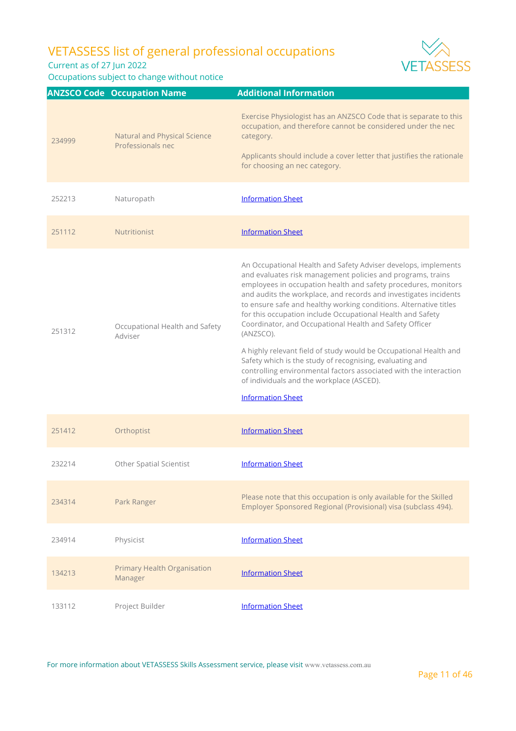Current as of 27 Jun 2022

Occupations subject to change without notice



| 251412 | Orthoptist                                    | <b>Information Sheet</b>                                                                                                             |
|--------|-----------------------------------------------|--------------------------------------------------------------------------------------------------------------------------------------|
| 232214 | <b>Other Spatial Scientist</b>                | <b>Information Sheet</b>                                                                                                             |
| 234314 | Park Ranger                                   | Please note that this occupation is only available for the Skilled<br>Employer Sponsored Regional (Provisional) visa (subclass 494). |
| 234914 | Physicist                                     | <b>Information Sheet</b>                                                                                                             |
| 134213 | <b>Primary Health Organisation</b><br>Manager | <b>Information Sheet</b>                                                                                                             |
| 133112 | Project Builder                               | <b>Information Sheet</b>                                                                                                             |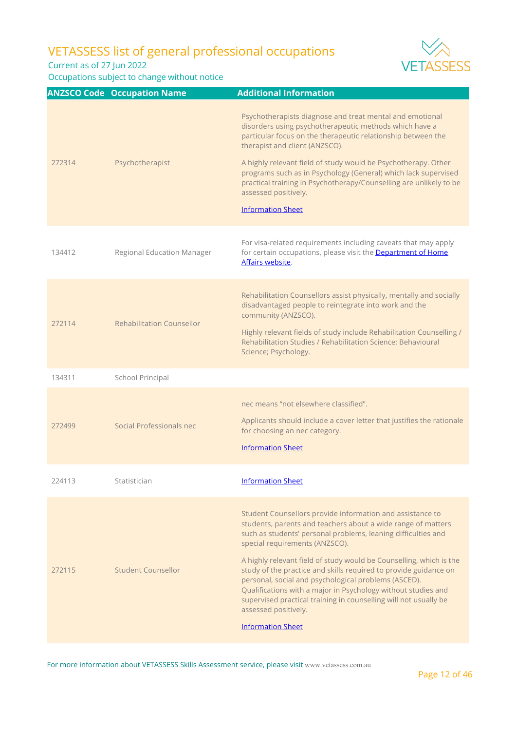Current as of 27 Jun 2022

Occupations subject to change without notice



|        | <b>ANZSCO Code Occupation Name</b> | <b>Additional Information</b>                                                                                                                                                                                                                                                                                                                                                                                                                                                                                                                                                                                            |
|--------|------------------------------------|--------------------------------------------------------------------------------------------------------------------------------------------------------------------------------------------------------------------------------------------------------------------------------------------------------------------------------------------------------------------------------------------------------------------------------------------------------------------------------------------------------------------------------------------------------------------------------------------------------------------------|
| 272314 | Psychotherapist                    | Psychotherapists diagnose and treat mental and emotional<br>disorders using psychotherapeutic methods which have a<br>particular focus on the therapeutic relationship between the<br>therapist and client (ANZSCO).<br>A highly relevant field of study would be Psychotherapy. Other<br>programs such as in Psychology (General) which lack supervised<br>practical training in Psychotherapy/Counselling are unlikely to be<br>assessed positively.<br><b>Information Sheet</b>                                                                                                                                       |
| 134412 | <b>Regional Education Manager</b>  | For visa-related requirements including caveats that may apply<br>for certain occupations, please visit the Department of Home<br>Affairs website.                                                                                                                                                                                                                                                                                                                                                                                                                                                                       |
| 272114 | Rehabilitation Counsellor          | Rehabilitation Counsellors assist physically, mentally and socially<br>disadvantaged people to reintegrate into work and the<br>community (ANZSCO).<br>Highly relevant fields of study include Rehabilitation Counselling /<br>Rehabilitation Studies / Rehabilitation Science; Behavioural<br>Science; Psychology.                                                                                                                                                                                                                                                                                                      |
| 134311 | School Principal                   |                                                                                                                                                                                                                                                                                                                                                                                                                                                                                                                                                                                                                          |
| 272499 | Social Professionals nec           | nec means "not elsewhere classified".<br>Applicants should include a cover letter that justifies the rationale<br>for choosing an nec category.<br><b>Information Sheet</b>                                                                                                                                                                                                                                                                                                                                                                                                                                              |
| 224113 | Statistician                       | <b>Information Sheet</b>                                                                                                                                                                                                                                                                                                                                                                                                                                                                                                                                                                                                 |
| 272115 | Student Counsellor                 | Student Counsellors provide information and assistance to<br>students, parents and teachers about a wide range of matters<br>such as students' personal problems, leaning difficulties and<br>special requirements (ANZSCO).<br>A highly relevant field of study would be Counselling, which is the<br>study of the practice and skills required to provide guidance on<br>personal, social and psychological problems (ASCED).<br>Qualifications with a major in Psychology without studies and<br>supervised practical training in counselling will not usually be<br>assessed positively.<br><b>Information Sheet</b> |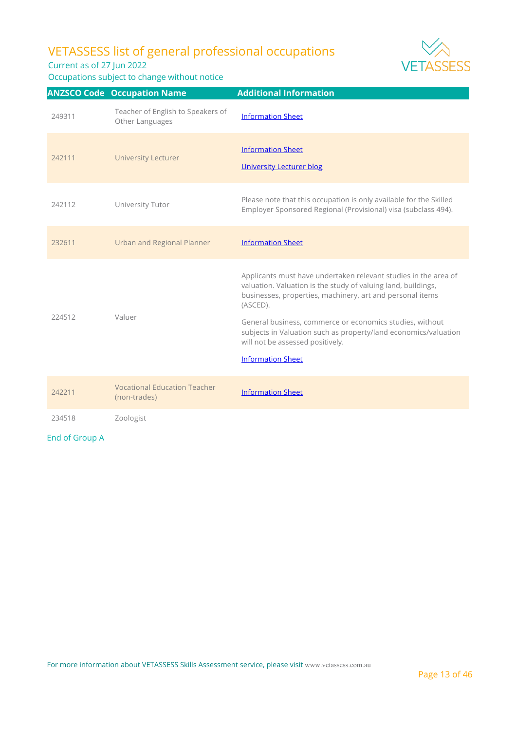Current as of 27 Jun 2022

Occupations subject to change without notice



|        | <b>ANZSCO Code Occupation Name</b>                   | <b>Additional Information</b>                                                                                                                                                                                                                                                                                                                                                                            |
|--------|------------------------------------------------------|----------------------------------------------------------------------------------------------------------------------------------------------------------------------------------------------------------------------------------------------------------------------------------------------------------------------------------------------------------------------------------------------------------|
| 249311 | Teacher of English to Speakers of<br>Other Languages | <b>Information Sheet</b>                                                                                                                                                                                                                                                                                                                                                                                 |
| 242111 | <b>University Lecturer</b>                           | <b>Information Sheet</b><br><b>University Lecturer blog</b>                                                                                                                                                                                                                                                                                                                                              |
| 242112 | University Tutor                                     | Please note that this occupation is only available for the Skilled<br>Employer Sponsored Regional (Provisional) visa (subclass 494).                                                                                                                                                                                                                                                                     |
| 232611 | <b>Urban and Regional Planner</b>                    | <b>Information Sheet</b>                                                                                                                                                                                                                                                                                                                                                                                 |
| 224512 | Valuer                                               | Applicants must have undertaken relevant studies in the area of<br>valuation. Valuation is the study of valuing land, buildings,<br>businesses, properties, machinery, art and personal items<br>(ASCED).<br>General business, commerce or economics studies, without<br>subjects in Valuation such as property/land economics/valuation<br>will not be assessed positively.<br><b>Information Sheet</b> |
| 242211 | <b>Vocational Education Teacher</b><br>(non-trades)  | <b>Information Sheet</b>                                                                                                                                                                                                                                                                                                                                                                                 |
| 234518 | Zoologist                                            |                                                                                                                                                                                                                                                                                                                                                                                                          |

End of Group A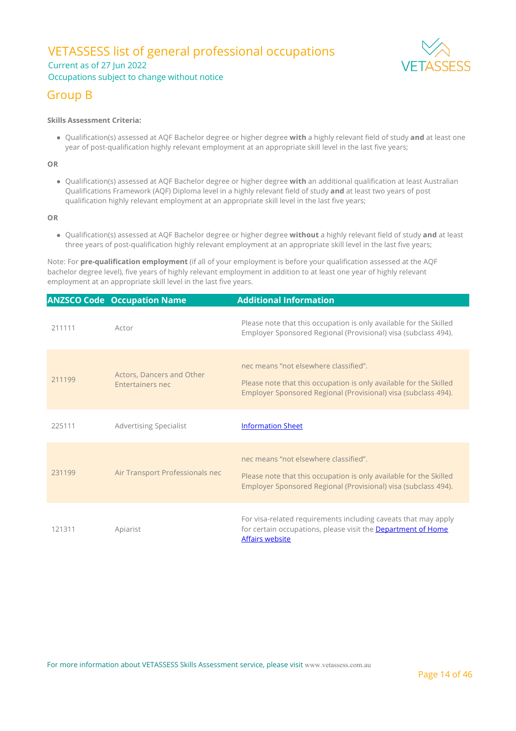### VETASSESS list of general professional occupations Current as of 27 Jun 2022 Occupations subject to change without notice



### Group B

#### **Skills Assessment Criteria:**

Qualification(s) assessed at AQF Bachelor degree or higher degree **with** a highly relevant field of study **and** at least one year of post-qualification highly relevant employment at an appropriate skill level in the last five years;

**OR**

Qualification(s) assessed at AQF Bachelor degree or higher degree **with** an additional qualification at least Australian Qualifications Framework (AQF) Diploma level in a highly relevant field of study **and** at least two years of post qualification highly relevant employment at an appropriate skill level in the last five years;

**OR**

Qualification(s) assessed at AQF Bachelor degree or higher degree **without** a highly relevant field of study **and** at least three years of post-qualification highly relevant employment at an appropriate skill level in the last five years;

Note: For **pre-qualification employment** (if all of your employment is before your qualification assessed at the AQF bachelor degree level), five years of highly relevant employment in addition to at least one year of highly relevant employment at an appropriate skill level in the last five years.

|        | <b>ANZSCO Code Occupation Name</b>            | <b>Additional Information</b>                                                                                                                                                 |
|--------|-----------------------------------------------|-------------------------------------------------------------------------------------------------------------------------------------------------------------------------------|
| 211111 | Actor                                         | Please note that this occupation is only available for the Skilled<br>Employer Sponsored Regional (Provisional) visa (subclass 494).                                          |
| 211199 | Actors, Dancers and Other<br>Entertainers nec | nec means "not elsewhere classified".<br>Please note that this occupation is only available for the Skilled<br>Employer Sponsored Regional (Provisional) visa (subclass 494). |
| 225111 | <b>Advertising Specialist</b>                 | <b>Information Sheet</b>                                                                                                                                                      |
| 231199 | Air Transport Professionals nec               | nec means "not elsewhere classified".<br>Please note that this occupation is only available for the Skilled<br>Employer Sponsored Regional (Provisional) visa (subclass 494). |
| 121311 | Apiarist                                      | For visa-related requirements including caveats that may apply<br>for certain occupations, please visit the Department of Home<br><b>Affairs website</b>                      |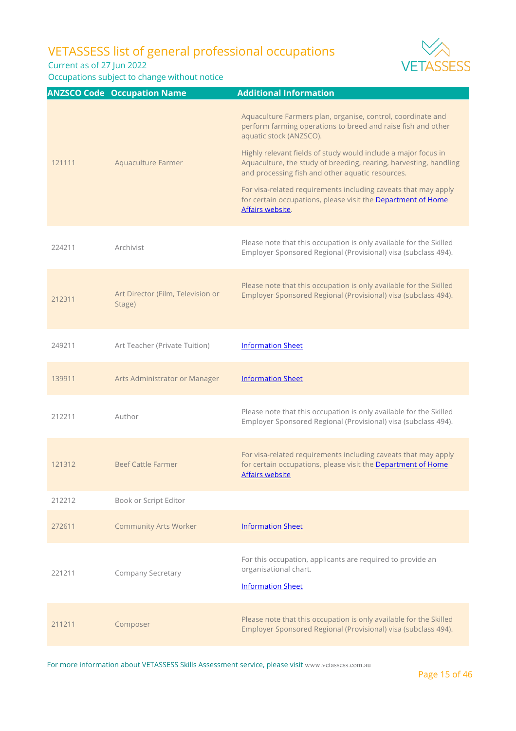Current as of 27 Jun 2022

Occupations subject to change without notice



|        | <b>ANZSCO Code Occupation Name</b>          | <b>Additional Information</b>                                                                                                                                                           |
|--------|---------------------------------------------|-----------------------------------------------------------------------------------------------------------------------------------------------------------------------------------------|
|        |                                             | Aquaculture Farmers plan, organise, control, coordinate and<br>perform farming operations to breed and raise fish and other<br>aquatic stock (ANZSCO).                                  |
| 121111 | Aquaculture Farmer                          | Highly relevant fields of study would include a major focus in<br>Aquaculture, the study of breeding, rearing, harvesting, handling<br>and processing fish and other aquatic resources. |
|        |                                             | For visa-related requirements including caveats that may apply<br>for certain occupations, please visit the Department of Home<br>Affairs website.                                      |
| 224211 | Archivist                                   | Please note that this occupation is only available for the Skilled<br>Employer Sponsored Regional (Provisional) visa (subclass 494).                                                    |
| 212311 | Art Director (Film, Television or<br>Stage) | Please note that this occupation is only available for the Skilled<br>Employer Sponsored Regional (Provisional) visa (subclass 494).                                                    |
| 249211 | Art Teacher (Private Tuition)               | <b>Information Sheet</b>                                                                                                                                                                |
| 139911 | Arts Administrator or Manager               | <b>Information Sheet</b>                                                                                                                                                                |
| 212211 | Author                                      | Please note that this occupation is only available for the Skilled<br>Employer Sponsored Regional (Provisional) visa (subclass 494).                                                    |
| 121312 | <b>Beef Cattle Farmer</b>                   | For visa-related requirements including caveats that may apply<br>for certain occupations, please visit the Department of Home<br><b>Affairs website</b>                                |
| 212212 | Book or Script Editor                       |                                                                                                                                                                                         |
| 272611 | <b>Community Arts Worker</b>                | <b>Information Sheet</b>                                                                                                                                                                |
| 221211 | Company Secretary                           | For this occupation, applicants are required to provide an<br>organisational chart.<br><b>Information Sheet</b>                                                                         |
| 211211 | Composer                                    | Please note that this occupation is only available for the Skilled<br>Employer Sponsored Regional (Provisional) visa (subclass 494).                                                    |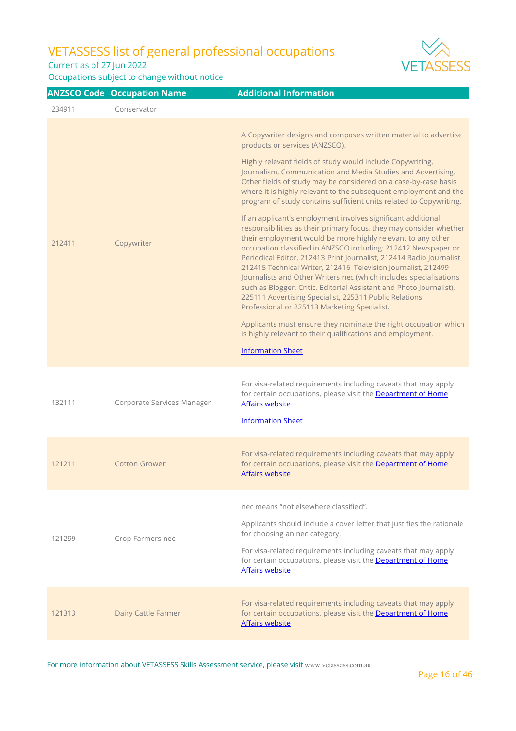Current as of 27 Jun 2022

Occupations subject to change without notice



|        | <b>ANZSCO Code Occupation Name</b> | <b>Additional Information</b>                                                                                                                                                                                                                                                                                                                                                                                                                                                                                                                                                                                                                                      |
|--------|------------------------------------|--------------------------------------------------------------------------------------------------------------------------------------------------------------------------------------------------------------------------------------------------------------------------------------------------------------------------------------------------------------------------------------------------------------------------------------------------------------------------------------------------------------------------------------------------------------------------------------------------------------------------------------------------------------------|
| 234911 | Conservator                        |                                                                                                                                                                                                                                                                                                                                                                                                                                                                                                                                                                                                                                                                    |
| 212411 | Copywriter                         | A Copywriter designs and composes written material to advertise<br>products or services (ANZSCO).<br>Highly relevant fields of study would include Copywriting,<br>Journalism, Communication and Media Studies and Advertising.<br>Other fields of study may be considered on a case-by-case basis<br>where it is highly relevant to the subsequent employment and the<br>program of study contains sufficient units related to Copywriting.                                                                                                                                                                                                                       |
|        |                                    | If an applicant's employment involves significant additional<br>responsibilities as their primary focus, they may consider whether<br>their employment would be more highly relevant to any other<br>occupation classified in ANZSCO including: 212412 Newspaper or<br>Periodical Editor, 212413 Print Journalist, 212414 Radio Journalist,<br>212415 Technical Writer, 212416 Television Journalist, 212499<br>Journalists and Other Writers nec (which includes specialisations<br>such as Blogger, Critic, Editorial Assistant and Photo Journalist),<br>225111 Advertising Specialist, 225311 Public Relations<br>Professional or 225113 Marketing Specialist. |
|        |                                    | Applicants must ensure they nominate the right occupation which<br>is highly relevant to their qualifications and employment.                                                                                                                                                                                                                                                                                                                                                                                                                                                                                                                                      |
|        |                                    | <b>Information Sheet</b>                                                                                                                                                                                                                                                                                                                                                                                                                                                                                                                                                                                                                                           |
| 132111 | Corporate Services Manager         | For visa-related requirements including caveats that may apply<br>for certain occupations, please visit the Department of Home<br><b>Affairs website</b><br><b>Information Sheet</b>                                                                                                                                                                                                                                                                                                                                                                                                                                                                               |
| 121211 | <b>Cotton Grower</b>               | For visa-related requirements including caveats that may apply<br>for certain occupations, please visit the Department of Home<br><b>Affairs website</b>                                                                                                                                                                                                                                                                                                                                                                                                                                                                                                           |
| 121299 | Crop Farmers nec                   | nec means "not elsewhere classified".<br>Applicants should include a cover letter that justifies the rationale<br>for choosing an nec category.<br>For visa-related requirements including caveats that may apply<br>for certain occupations, please visit the Department of Home<br><b>Affairs website</b>                                                                                                                                                                                                                                                                                                                                                        |
| 121313 | Dairy Cattle Farmer                | For visa-related requirements including caveats that may apply<br>for certain occupations, please visit the Department of Home<br>Affairs website                                                                                                                                                                                                                                                                                                                                                                                                                                                                                                                  |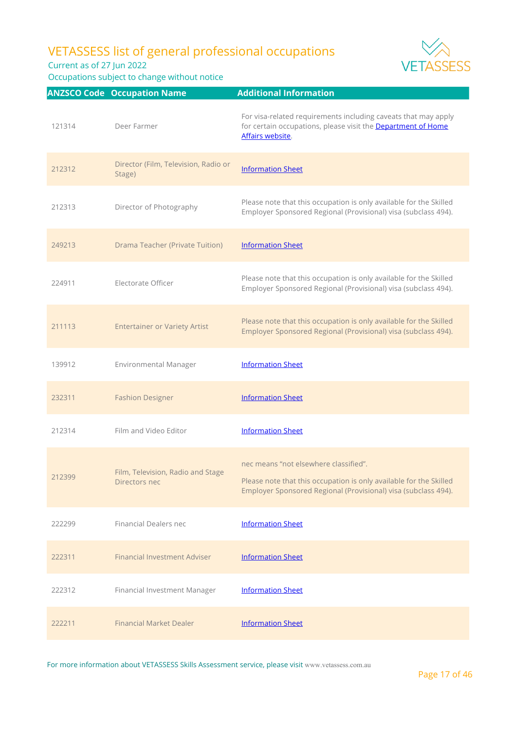Current as of 27 Jun 2022

Occupations subject to change without notice



|        | <b>ANZSCO Code Occupation Name</b>                 | <b>Additional Information</b>                                                                                                                                                 |
|--------|----------------------------------------------------|-------------------------------------------------------------------------------------------------------------------------------------------------------------------------------|
| 121314 | Deer Farmer                                        | For visa-related requirements including caveats that may apply<br>for certain occupations, please visit the Department of Home<br>Affairs website.                            |
| 212312 | Director (Film, Television, Radio or<br>Stage)     | <b>Information Sheet</b>                                                                                                                                                      |
| 212313 | Director of Photography                            | Please note that this occupation is only available for the Skilled<br>Employer Sponsored Regional (Provisional) visa (subclass 494).                                          |
| 249213 | <b>Drama Teacher (Private Tuition)</b>             | <b>Information Sheet</b>                                                                                                                                                      |
| 224911 | Electorate Officer                                 | Please note that this occupation is only available for the Skilled<br>Employer Sponsored Regional (Provisional) visa (subclass 494).                                          |
| 211113 | <b>Entertainer or Variety Artist</b>               | Please note that this occupation is only available for the Skilled<br>Employer Sponsored Regional (Provisional) visa (subclass 494).                                          |
| 139912 | <b>Environmental Manager</b>                       | <b>Information Sheet</b>                                                                                                                                                      |
| 232311 | <b>Fashion Designer</b>                            | <b>Information Sheet</b>                                                                                                                                                      |
| 212314 | Film and Video Editor                              | <b>Information Sheet</b>                                                                                                                                                      |
| 212399 | Film, Television, Radio and Stage<br>Directors nec | nec means "not elsewhere classified".<br>Please note that this occupation is only available for the Skilled<br>Employer Sponsored Regional (Provisional) visa (subclass 494). |
| 222299 | <b>Financial Dealers nec</b>                       | <b>Information Sheet</b>                                                                                                                                                      |
| 222311 | <b>Financial Investment Adviser</b>                | <b>Information Sheet</b>                                                                                                                                                      |
| 222312 | Financial Investment Manager                       | <b>Information Sheet</b>                                                                                                                                                      |
| 222211 | <b>Financial Market Dealer</b>                     | <b>Information Sheet</b>                                                                                                                                                      |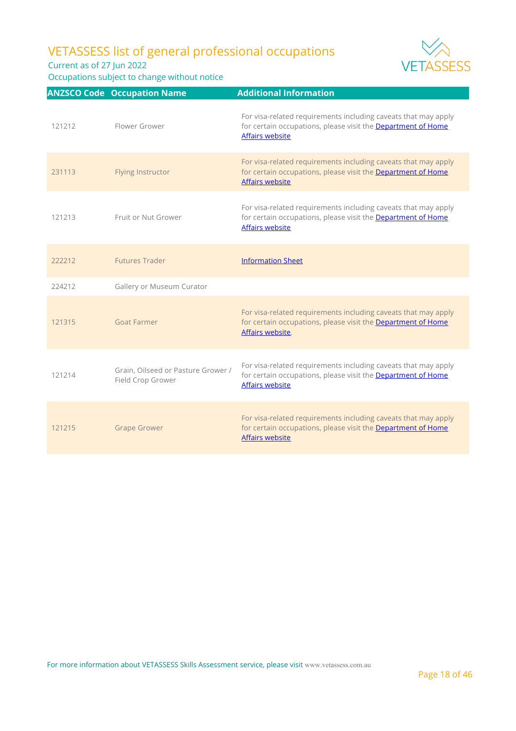Current as of 27 Jun 2022

|        | <b>ANZSCO Code Occupation Name</b>                      | <b>Additional Information</b>                                                                                                                                   |
|--------|---------------------------------------------------------|-----------------------------------------------------------------------------------------------------------------------------------------------------------------|
| 121212 | Flower Grower                                           | For visa-related requirements including caveats that may apply<br>for certain occupations, please visit the <b>Department of Home</b><br><b>Affairs website</b> |
| 231113 | Flying Instructor                                       | For visa-related requirements including caveats that may apply<br>for certain occupations, please visit the Department of Home<br><b>Affairs website</b>        |
| 121213 | Fruit or Nut Grower                                     | For visa-related requirements including caveats that may apply<br>for certain occupations, please visit the Department of Home<br><b>Affairs website</b>        |
| 222212 | <b>Futures Trader</b>                                   | <b>Information Sheet</b>                                                                                                                                        |
| 224212 | Gallery or Museum Curator                               |                                                                                                                                                                 |
| 121315 | <b>Goat Farmer</b>                                      | For visa-related requirements including caveats that may apply<br>for certain occupations, please visit the Department of Home<br>Affairs website.              |
| 121214 | Grain, Oilseed or Pasture Grower /<br>Field Crop Grower | For visa-related requirements including caveats that may apply<br>for certain occupations, please visit the <b>Department of Home</b><br><b>Affairs website</b> |
| 121215 | <b>Grape Grower</b>                                     | For visa-related requirements including caveats that may apply<br>for certain occupations, please visit the Department of Home<br><b>Affairs website</b>        |





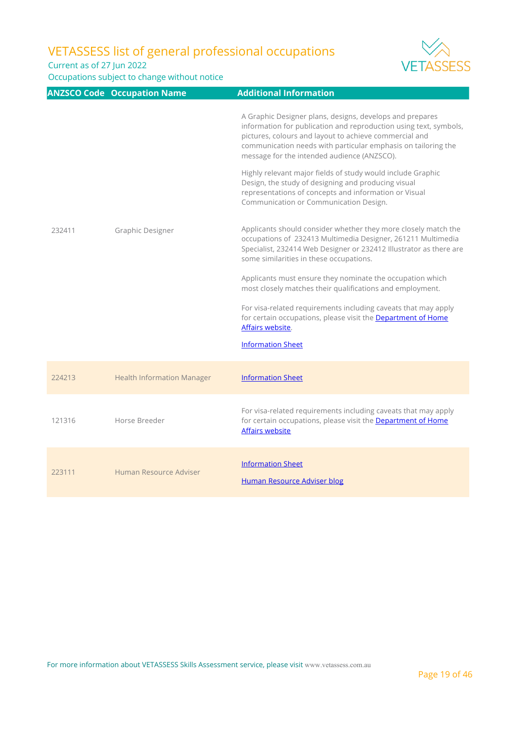Current as of 27 Jun 2022



|        | <b>ANZSCO Code Occupation Name</b> | <b>Additional Information</b>                                                                                                                                                                                                                                                                                                                                                                                                                                                                                                    |
|--------|------------------------------------|----------------------------------------------------------------------------------------------------------------------------------------------------------------------------------------------------------------------------------------------------------------------------------------------------------------------------------------------------------------------------------------------------------------------------------------------------------------------------------------------------------------------------------|
| 232411 | Graphic Designer                   | A Graphic Designer plans, designs, develops and prepares<br>information for publication and reproduction using text, symbols,<br>pictures, colours and layout to achieve commercial and<br>communication needs with particular emphasis on tailoring the<br>message for the intended audience (ANZSCO).<br>Highly relevant major fields of study would include Graphic<br>Design, the study of designing and producing visual<br>representations of concepts and information or Visual<br>Communication or Communication Design. |
|        |                                    | Applicants should consider whether they more closely match the<br>occupations of 232413 Multimedia Designer, 261211 Multimedia<br>Specialist, 232414 Web Designer or 232412 Illustrator as there are<br>some similarities in these occupations.                                                                                                                                                                                                                                                                                  |
|        |                                    | Applicants must ensure they nominate the occupation which<br>most closely matches their qualifications and employment.<br>For visa-related requirements including caveats that may apply<br>for certain occupations, please visit the Department of Home<br>Affairs website.                                                                                                                                                                                                                                                     |
|        |                                    | <b>Information Sheet</b>                                                                                                                                                                                                                                                                                                                                                                                                                                                                                                         |
| 224213 | <b>Health Information Manager</b>  | <b>Information Sheet</b>                                                                                                                                                                                                                                                                                                                                                                                                                                                                                                         |
| 121316 | Horse Breeder                      | For visa-related requirements including caveats that may apply<br>for certain occupations, please visit the <b>Department of Home</b><br><b>Affairs website</b>                                                                                                                                                                                                                                                                                                                                                                  |
| 223111 | Human Resource Adviser             | <b>Information Sheet</b><br><b>Human Resource Adviser blog</b>                                                                                                                                                                                                                                                                                                                                                                                                                                                                   |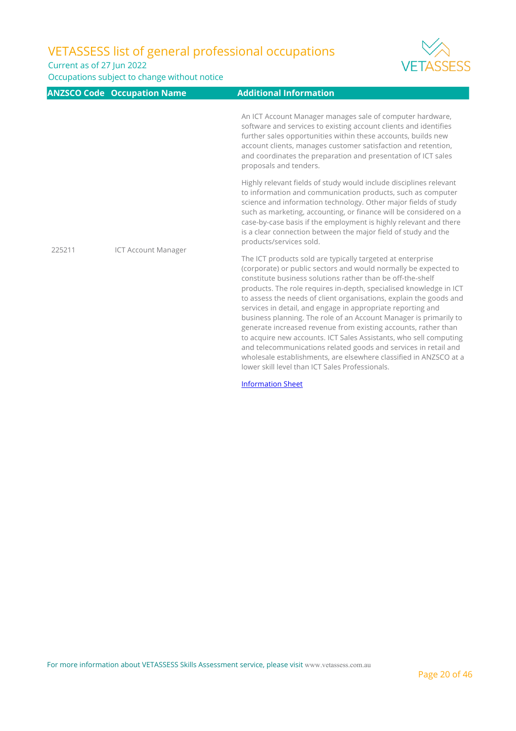Current as of 27 Jun 2022

Occupations subject to change without notice



|        | ANZSCO Code Occupation Name | <b>Additional Information</b>                                                                                                                                                                                                                                                                                                                                                                                                                                                                                                                                                                                                                                                                                                                                                                                 |
|--------|-----------------------------|---------------------------------------------------------------------------------------------------------------------------------------------------------------------------------------------------------------------------------------------------------------------------------------------------------------------------------------------------------------------------------------------------------------------------------------------------------------------------------------------------------------------------------------------------------------------------------------------------------------------------------------------------------------------------------------------------------------------------------------------------------------------------------------------------------------|
| 225211 | <b>ICT Account Manager</b>  | An ICT Account Manager manages sale of computer hardware,<br>software and services to existing account clients and identifies<br>further sales opportunities within these accounts, builds new<br>account clients, manages customer satisfaction and retention,<br>and coordinates the preparation and presentation of ICT sales<br>proposals and tenders.                                                                                                                                                                                                                                                                                                                                                                                                                                                    |
|        |                             | Highly relevant fields of study would include disciplines relevant<br>to information and communication products, such as computer<br>science and information technology. Other major fields of study<br>such as marketing, accounting, or finance will be considered on a<br>case-by-case basis if the employment is highly relevant and there<br>is a clear connection between the major field of study and the<br>products/services sold.                                                                                                                                                                                                                                                                                                                                                                   |
|        |                             | The ICT products sold are typically targeted at enterprise<br>(corporate) or public sectors and would normally be expected to<br>constitute business solutions rather than be off-the-shelf<br>products. The role requires in-depth, specialised knowledge in ICT<br>to assess the needs of client organisations, explain the goods and<br>services in detail, and engage in appropriate reporting and<br>business planning. The role of an Account Manager is primarily to<br>generate increased revenue from existing accounts, rather than<br>to acquire new accounts. ICT Sales Assistants, who sell computing<br>and telecommunications related goods and services in retail and<br>wholesale establishments, are elsewhere classified in ANZSCO at a<br>lower skill level than ICT Sales Professionals. |

[Information Sheet](https://www.vetassess.com.au/Portals/0/Downloads/qualification_assessment/SRGO%20Infosheet_ICT%20Account%20Manager.pdf)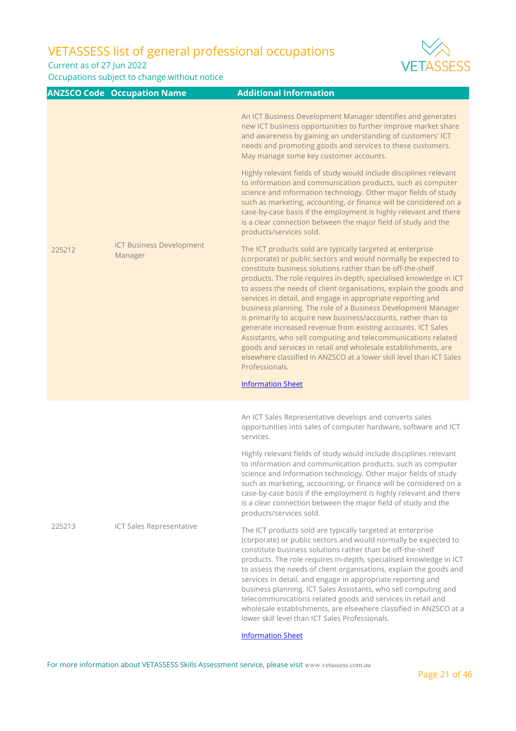Current as of 27 Jun 2022

Occupations subject to change without notice



|        | <b>ANZSCO Code Occupation Name</b>         | <b>Additional Information</b>                                                                                                                                                                                                                                                                                                                                                                                                                                                                                                                                                                                                                                                                                                                                                                                                                                     |
|--------|--------------------------------------------|-------------------------------------------------------------------------------------------------------------------------------------------------------------------------------------------------------------------------------------------------------------------------------------------------------------------------------------------------------------------------------------------------------------------------------------------------------------------------------------------------------------------------------------------------------------------------------------------------------------------------------------------------------------------------------------------------------------------------------------------------------------------------------------------------------------------------------------------------------------------|
| 225212 | <b>ICT Business Development</b><br>Manager | An ICT Business Development Manager identifies and generates<br>new ICT business opportunities to further improve market share<br>and awareness by gaining an understanding of customers' ICT<br>needs and promoting goods and services to these customers.<br>May manage some key customer accounts.                                                                                                                                                                                                                                                                                                                                                                                                                                                                                                                                                             |
|        |                                            | Highly relevant fields of study would include disciplines relevant<br>to information and communication products, such as computer<br>science and information technology. Other major fields of study<br>such as marketing, accounting, or finance will be considered on a<br>case-by-case basis if the employment is highly relevant and there<br>is a clear connection between the major field of study and the<br>products/services sold.                                                                                                                                                                                                                                                                                                                                                                                                                       |
|        |                                            | The ICT products sold are typically targeted at enterprise<br>(corporate) or public sectors and would normally be expected to<br>constitute business solutions rather than be off-the-shelf<br>products. The role requires in-depth, specialised knowledge in ICT<br>to assess the needs of client organisations, explain the goods and<br>services in detail, and engage in appropriate reporting and<br>business planning. The role of a Business Development Manager<br>is primarily to acquire new business/accounts, rather than to<br>generate increased revenue from existing accounts. ICT Sales<br>Assistants, who sell computing and telecommunications related<br>goods and services in retail and wholesale establishments, are<br>elsewhere classified in ANZSCO at a lower skill level than ICT Sales<br>Professionals.<br><b>Information Sheet</b> |
| 225213 | ICT Sales Representative                   | An ICT Sales Representative develops and converts sales<br>opportunities into sales of computer hardware, software and ICT<br>services.<br>Highly relevant fields of study would include disciplines relevant<br>to information and communication products, such as computer<br>science and information technology. Other major fields of study<br>such as marketing, accounting, or finance will be considered on a<br>case-by-case basis if the employment is highly relevant and there<br>is a clear connection between the major field of study and the<br>products/services sold.<br>The ICT products sold are typically targeted at enterprise<br>(corporate) or public sectors and would normally be expected to                                                                                                                                           |
|        |                                            | constitute business solutions rather than be off-the-shelf<br>products. The role requires in-depth, specialised knowledge in ICT<br>to assess the needs of client organisations, explain the goods and<br>services in detail, and engage in appropriate reporting and<br>business planning. ICT Sales Assistants, who sell computing and<br>telecommunications related goods and services in retail and<br>wholesale establishments, are elsewhere classified in ANZSCO at a<br>lower skill level than ICT Sales Professionals.                                                                                                                                                                                                                                                                                                                                   |

[Information Sheet](https://www.vetassess.com.au/Portals/0/Downloads/qualification_assessment/SRGO%20Infosheet_ICT%20Sales%20Representative.pdf)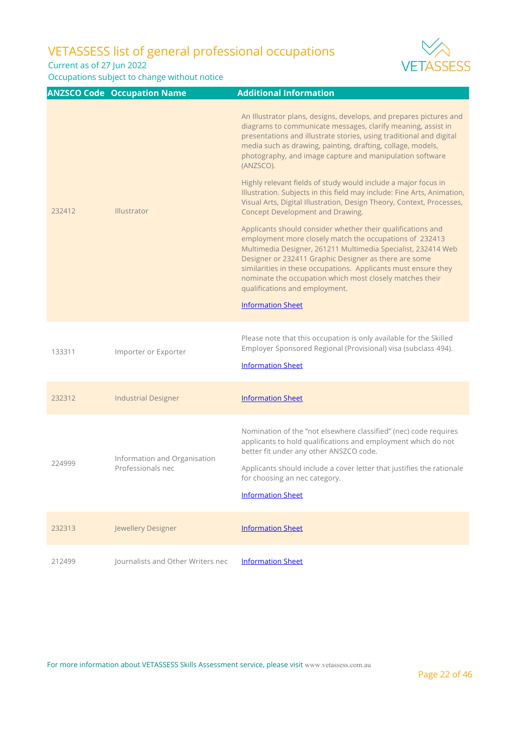Current as of 27 Jun 2022

Occupations subject to change without notice



|        | <b>ANZSCO Code Occupation Name</b>                | <b>Additional Information</b>                                                                                                                                                                                                                                                                                                                                                                                    |
|--------|---------------------------------------------------|------------------------------------------------------------------------------------------------------------------------------------------------------------------------------------------------------------------------------------------------------------------------------------------------------------------------------------------------------------------------------------------------------------------|
| 232412 | Illustrator                                       | An Illustrator plans, designs, develops, and prepares pictures and<br>diagrams to communicate messages, clarify meaning, assist in<br>presentations and illustrate stories, using traditional and digital<br>media such as drawing, painting, drafting, collage, models,<br>photography, and image capture and manipulation software<br>(ANZSCO).                                                                |
|        |                                                   | Highly relevant fields of study would include a major focus in<br>Illustration. Subjects in this field may include: Fine Arts, Animation,<br>Visual Arts, Digital Illustration, Design Theory, Context, Processes,<br>Concept Development and Drawing.                                                                                                                                                           |
|        |                                                   | Applicants should consider whether their qualifications and<br>employment more closely match the occupations of 232413<br>Multimedia Designer, 261211 Multimedia Specialist, 232414 Web<br>Designer or 232411 Graphic Designer as there are some<br>similarities in these occupations. Applicants must ensure they<br>nominate the occupation which most closely matches their<br>qualifications and employment. |
|        |                                                   | <b>Information Sheet</b>                                                                                                                                                                                                                                                                                                                                                                                         |
| 133311 | Importer or Exporter                              | Please note that this occupation is only available for the Skilled<br>Employer Sponsored Regional (Provisional) visa (subclass 494).<br><b>Information Sheet</b>                                                                                                                                                                                                                                                 |
| 232312 | <b>Industrial Designer</b>                        | <b>Information Sheet</b>                                                                                                                                                                                                                                                                                                                                                                                         |
| 224999 | Information and Organisation<br>Professionals nec | Nomination of the "not elsewhere classified" (nec) code requires<br>applicants to hold qualifications and employment which do not<br>better fit under any other ANSZCO code.<br>Applicants should include a cover letter that justifies the rationale<br>for choosing an nec category.<br><b>Information Sheet</b>                                                                                               |
| 232313 | Jewellery Designer                                | <b>Information Sheet</b>                                                                                                                                                                                                                                                                                                                                                                                         |
| 212499 | Journalists and Other Writers nec                 | <b>Information Sheet</b>                                                                                                                                                                                                                                                                                                                                                                                         |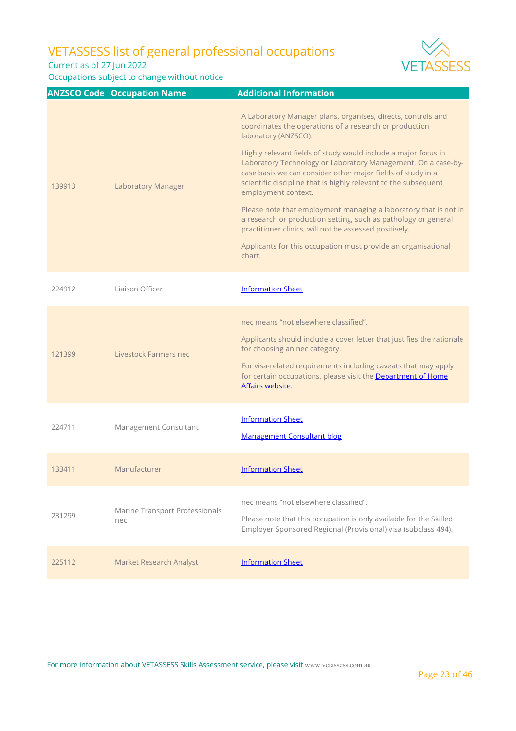Current as of 27 Jun 2022



|        | <b>ANZSCO Code Occupation Name</b>           | <b>Additional Information</b>                                                                                                                                                                                                                                                                                                                                                                                                                                                                                                                                                                                                                                                                                         |
|--------|----------------------------------------------|-----------------------------------------------------------------------------------------------------------------------------------------------------------------------------------------------------------------------------------------------------------------------------------------------------------------------------------------------------------------------------------------------------------------------------------------------------------------------------------------------------------------------------------------------------------------------------------------------------------------------------------------------------------------------------------------------------------------------|
| 139913 | <b>Laboratory Manager</b>                    | A Laboratory Manager plans, organises, directs, controls and<br>coordinates the operations of a research or production<br>laboratory (ANZSCO).<br>Highly relevant fields of study would include a major focus in<br>Laboratory Technology or Laboratory Management. On a case-by-<br>case basis we can consider other major fields of study in a<br>scientific discipline that is highly relevant to the subsequent<br>employment context.<br>Please note that employment managing a laboratory that is not in<br>a research or production setting, such as pathology or general<br>practitioner clinics, will not be assessed positively.<br>Applicants for this occupation must provide an organisational<br>chart. |
| 224912 | Liaison Officer                              | <b>Information Sheet</b>                                                                                                                                                                                                                                                                                                                                                                                                                                                                                                                                                                                                                                                                                              |
| 121399 | Livestock Farmers nec                        | nec means "not elsewhere classified".<br>Applicants should include a cover letter that justifies the rationale<br>for choosing an nec category.<br>For visa-related requirements including caveats that may apply<br>for certain occupations, please visit the Department of Home<br>Affairs website.                                                                                                                                                                                                                                                                                                                                                                                                                 |
| 224711 | Management Consultant                        | <b>Information Sheet</b><br><b>Management Consultant blog</b>                                                                                                                                                                                                                                                                                                                                                                                                                                                                                                                                                                                                                                                         |
| 133411 | Manufacturer                                 | <b>Information Sheet</b>                                                                                                                                                                                                                                                                                                                                                                                                                                                                                                                                                                                                                                                                                              |
| 231299 | <b>Marine Transport Professionals</b><br>nec | nec means "not elsewhere classified".<br>Please note that this occupation is only available for the Skilled<br>Employer Sponsored Regional (Provisional) visa (subclass 494).                                                                                                                                                                                                                                                                                                                                                                                                                                                                                                                                         |
| 225112 | Market Research Analyst                      | <b>Information Sheet</b>                                                                                                                                                                                                                                                                                                                                                                                                                                                                                                                                                                                                                                                                                              |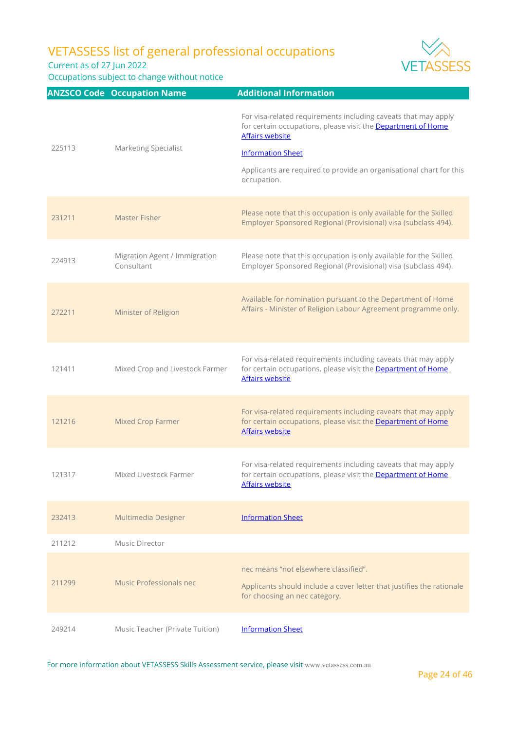Current as of 27 Jun 2022

Occupations subject to change without notice



|        | <b>ANZSCO Code Occupation Name</b>          | <b>Additional Information</b>                                                                                                                                                                                                                                              |
|--------|---------------------------------------------|----------------------------------------------------------------------------------------------------------------------------------------------------------------------------------------------------------------------------------------------------------------------------|
| 225113 | <b>Marketing Specialist</b>                 | For visa-related requirements including caveats that may apply<br>for certain occupations, please visit the Department of Home<br><b>Affairs website</b><br><b>Information Sheet</b><br>Applicants are required to provide an organisational chart for this<br>occupation. |
| 231211 | Master Fisher                               | Please note that this occupation is only available for the Skilled<br>Employer Sponsored Regional (Provisional) visa (subclass 494).                                                                                                                                       |
| 224913 | Migration Agent / Immigration<br>Consultant | Please note that this occupation is only available for the Skilled<br>Employer Sponsored Regional (Provisional) visa (subclass 494).                                                                                                                                       |
| 272211 | Minister of Religion                        | Available for nomination pursuant to the Department of Home<br>Affairs - Minister of Religion Labour Agreement programme only.                                                                                                                                             |
| 121411 | Mixed Crop and Livestock Farmer             | For visa-related requirements including caveats that may apply<br>for certain occupations, please visit the Department of Home<br><b>Affairs website</b>                                                                                                                   |
| 121216 | Mixed Crop Farmer                           | For visa-related requirements including caveats that may apply<br>for certain occupations, please visit the Department of Home<br><b>Affairs website</b>                                                                                                                   |
| 121317 | Mixed Livestock Farmer                      | For visa-related requirements including caveats that may apply<br>for certain occupations, please visit the Department of Home<br><b>Affairs website</b>                                                                                                                   |
| 232413 | Multimedia Designer                         | <b>Information Sheet</b>                                                                                                                                                                                                                                                   |
| 211212 | Music Director                              |                                                                                                                                                                                                                                                                            |
| 211299 | Music Professionals nec                     | nec means "not elsewhere classified".<br>Applicants should include a cover letter that justifies the rationale<br>for choosing an nec category.                                                                                                                            |
| 249214 | Music Teacher (Private Tuition)             | <b>Information Sheet</b>                                                                                                                                                                                                                                                   |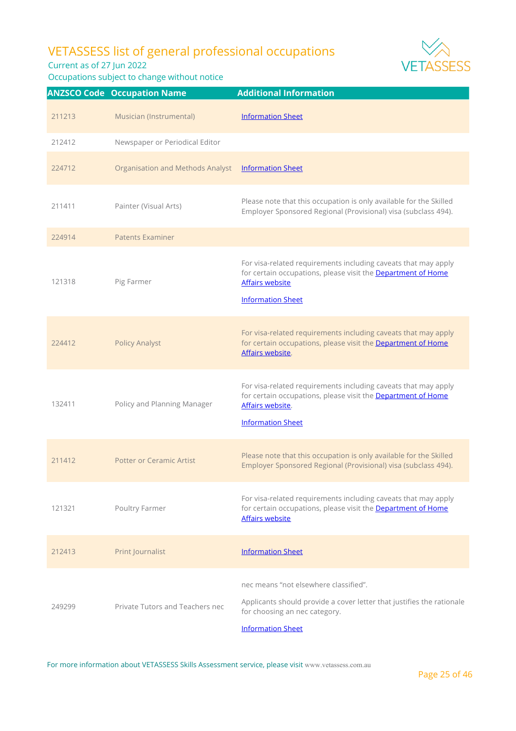Current as of 27 Jun 2022

Occupations subject to change without notice



|        | <b>ANZSCO Code Occupation Name</b>      | <b>Additional Information</b>                                                                                                                                                               |
|--------|-----------------------------------------|---------------------------------------------------------------------------------------------------------------------------------------------------------------------------------------------|
| 211213 | Musician (Instrumental)                 | <b>Information Sheet</b>                                                                                                                                                                    |
| 212412 | Newspaper or Periodical Editor          |                                                                                                                                                                                             |
| 224712 | <b>Organisation and Methods Analyst</b> | <b>Information Sheet</b>                                                                                                                                                                    |
| 211411 | Painter (Visual Arts)                   | Please note that this occupation is only available for the Skilled<br>Employer Sponsored Regional (Provisional) visa (subclass 494).                                                        |
| 224914 | <b>Patents Examiner</b>                 |                                                                                                                                                                                             |
| 121318 | Pig Farmer                              | For visa-related requirements including caveats that may apply<br>for certain occupations, please visit the <b>Department of Home</b><br><b>Affairs website</b><br><b>Information Sheet</b> |
| 224412 | <b>Policy Analyst</b>                   | For visa-related requirements including caveats that may apply<br>for certain occupations, please visit the Department of Home<br>Affairs website.                                          |
| 132411 | Policy and Planning Manager             | For visa-related requirements including caveats that may apply<br>for certain occupations, please visit the Department of Home<br>Affairs website.<br><b>Information Sheet</b>              |
| 211412 | <b>Potter or Ceramic Artist</b>         | Please note that this occupation is only available for the Skilled<br>Employer Sponsored Regional (Provisional) visa (subclass 494).                                                        |
| 121321 | Poultry Farmer                          | For visa-related requirements including caveats that may apply<br>for certain occupations, please visit the Department of Home<br>Affairs website                                           |
| 212413 | Print Journalist                        | <b>Information Sheet</b>                                                                                                                                                                    |
| 249299 | Private Tutors and Teachers nec         | nec means "not elsewhere classified".<br>Applicants should provide a cover letter that justifies the rationale<br>for choosing an nec category.<br><b>Information Sheet</b>                 |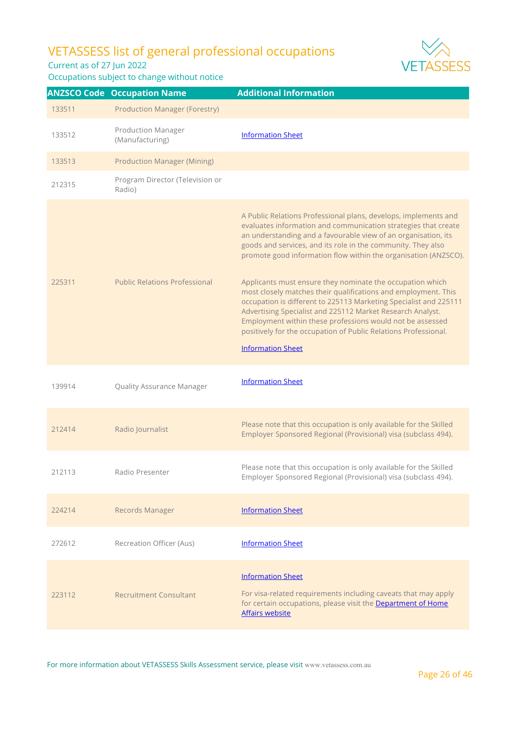Current as of 27 Jun 2022

Occupations subject to change without notice



|        | <b>ANZSCO Code Occupation Name</b>           | <b>Additional Information</b>                                                                                                                                                                                                                                                                                                                                                                                                                                                                                                                                                                                                                                                                                                                                        |
|--------|----------------------------------------------|----------------------------------------------------------------------------------------------------------------------------------------------------------------------------------------------------------------------------------------------------------------------------------------------------------------------------------------------------------------------------------------------------------------------------------------------------------------------------------------------------------------------------------------------------------------------------------------------------------------------------------------------------------------------------------------------------------------------------------------------------------------------|
| 133511 | <b>Production Manager (Forestry)</b>         |                                                                                                                                                                                                                                                                                                                                                                                                                                                                                                                                                                                                                                                                                                                                                                      |
| 133512 | <b>Production Manager</b><br>(Manufacturing) | <b>Information Sheet</b>                                                                                                                                                                                                                                                                                                                                                                                                                                                                                                                                                                                                                                                                                                                                             |
| 133513 | <b>Production Manager (Mining)</b>           |                                                                                                                                                                                                                                                                                                                                                                                                                                                                                                                                                                                                                                                                                                                                                                      |
| 212315 | Program Director (Television or<br>Radio)    |                                                                                                                                                                                                                                                                                                                                                                                                                                                                                                                                                                                                                                                                                                                                                                      |
| 225311 | <b>Public Relations Professional</b>         | A Public Relations Professional plans, develops, implements and<br>evaluates information and communication strategies that create<br>an understanding and a favourable view of an organisation, its<br>goods and services, and its role in the community. They also<br>promote good information flow within the organisation (ANZSCO).<br>Applicants must ensure they nominate the occupation which<br>most closely matches their qualifications and employment. This<br>occupation is different to 225113 Marketing Specialist and 225111<br>Advertising Specialist and 225112 Market Research Analyst.<br>Employment within these professions would not be assessed<br>positively for the occupation of Public Relations Professional.<br><b>Information Sheet</b> |
| 139914 | Quality Assurance Manager                    | <b>Information Sheet</b>                                                                                                                                                                                                                                                                                                                                                                                                                                                                                                                                                                                                                                                                                                                                             |
| 212414 | Radio Journalist                             | Please note that this occupation is only available for the Skilled<br>Employer Sponsored Regional (Provisional) visa (subclass 494).                                                                                                                                                                                                                                                                                                                                                                                                                                                                                                                                                                                                                                 |
| 212113 | Radio Presenter                              | Please note that this occupation is only available for the Skilled<br>Employer Sponsored Regional (Provisional) visa (subclass 494).                                                                                                                                                                                                                                                                                                                                                                                                                                                                                                                                                                                                                                 |
| 224214 | <b>Records Manager</b>                       | <b>Information Sheet</b>                                                                                                                                                                                                                                                                                                                                                                                                                                                                                                                                                                                                                                                                                                                                             |
| 272612 | Recreation Officer (Aus)                     | <b>Information Sheet</b>                                                                                                                                                                                                                                                                                                                                                                                                                                                                                                                                                                                                                                                                                                                                             |
| 223112 | <b>Recruitment Consultant</b>                | <b>Information Sheet</b><br>For visa-related requirements including caveats that may apply<br>for certain occupations, please visit the Department of Home<br><b>Affairs website</b>                                                                                                                                                                                                                                                                                                                                                                                                                                                                                                                                                                                 |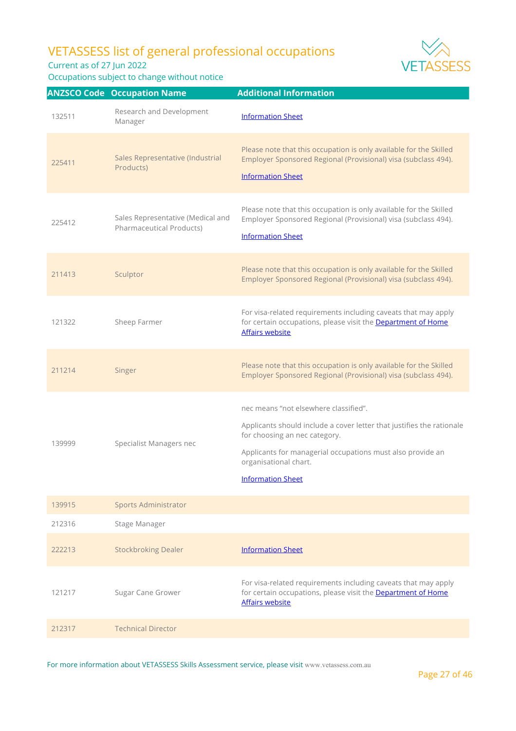Current as of 27 Jun 2022

Occupations subject to change without notice



|        | <b>ANZSCO Code Occupation Name</b>                                   | <b>Additional Information</b>                                                                                                                                                                                                                                      |
|--------|----------------------------------------------------------------------|--------------------------------------------------------------------------------------------------------------------------------------------------------------------------------------------------------------------------------------------------------------------|
| 132511 | Research and Development<br>Manager                                  | <b>Information Sheet</b>                                                                                                                                                                                                                                           |
| 225411 | Sales Representative (Industrial<br>Products)                        | Please note that this occupation is only available for the Skilled<br>Employer Sponsored Regional (Provisional) visa (subclass 494).<br><b>Information Sheet</b>                                                                                                   |
| 225412 | Sales Representative (Medical and<br><b>Pharmaceutical Products)</b> | Please note that this occupation is only available for the Skilled<br>Employer Sponsored Regional (Provisional) visa (subclass 494).<br><b>Information Sheet</b>                                                                                                   |
| 211413 | Sculptor                                                             | Please note that this occupation is only available for the Skilled<br>Employer Sponsored Regional (Provisional) visa (subclass 494).                                                                                                                               |
| 121322 | Sheep Farmer                                                         | For visa-related requirements including caveats that may apply<br>for certain occupations, please visit the Department of Home<br><b>Affairs website</b>                                                                                                           |
| 211214 | Singer                                                               | Please note that this occupation is only available for the Skilled<br>Employer Sponsored Regional (Provisional) visa (subclass 494).                                                                                                                               |
| 139999 | Specialist Managers nec                                              | nec means "not elsewhere classified".<br>Applicants should include a cover letter that justifies the rationale<br>for choosing an nec category.<br>Applicants for managerial occupations must also provide an<br>organisational chart.<br><b>Information Sheet</b> |
| 139915 | <b>Sports Administrator</b>                                          |                                                                                                                                                                                                                                                                    |
| 212316 | Stage Manager                                                        |                                                                                                                                                                                                                                                                    |
| 222213 | <b>Stockbroking Dealer</b>                                           | <b>Information Sheet</b>                                                                                                                                                                                                                                           |
| 121217 | Sugar Cane Grower                                                    | For visa-related requirements including caveats that may apply<br>for certain occupations, please visit the Department of Home<br><b>Affairs website</b>                                                                                                           |
| 212317 | <b>Technical Director</b>                                            |                                                                                                                                                                                                                                                                    |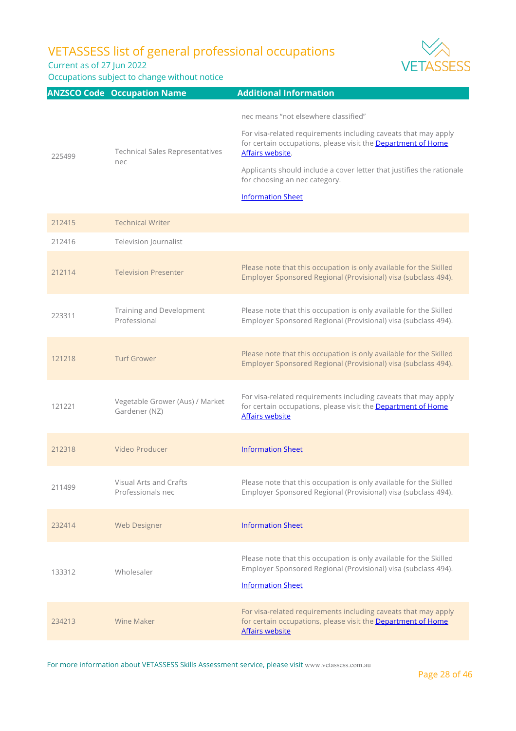Current as of 27 Jun 2022

Occupations subject to change without notice



|        | <b>ANZSCO Code Occupation Name</b>               | <b>Additional Information</b>                                                                                                                                                                                                                                                                                                    |
|--------|--------------------------------------------------|----------------------------------------------------------------------------------------------------------------------------------------------------------------------------------------------------------------------------------------------------------------------------------------------------------------------------------|
| 225499 | <b>Technical Sales Representatives</b><br>nec    | nec means "not elsewhere classified"<br>For visa-related requirements including caveats that may apply<br>for certain occupations, please visit the Department of Home<br>Affairs website.<br>Applicants should include a cover letter that justifies the rationale<br>for choosing an nec category.<br><b>Information Sheet</b> |
| 212415 | <b>Technical Writer</b>                          |                                                                                                                                                                                                                                                                                                                                  |
| 212416 | Television Journalist                            |                                                                                                                                                                                                                                                                                                                                  |
| 212114 | <b>Television Presenter</b>                      | Please note that this occupation is only available for the Skilled<br>Employer Sponsored Regional (Provisional) visa (subclass 494).                                                                                                                                                                                             |
| 223311 | Training and Development<br>Professional         | Please note that this occupation is only available for the Skilled<br>Employer Sponsored Regional (Provisional) visa (subclass 494).                                                                                                                                                                                             |
| 121218 | <b>Turf Grower</b>                               | Please note that this occupation is only available for the Skilled<br>Employer Sponsored Regional (Provisional) visa (subclass 494).                                                                                                                                                                                             |
| 121221 | Vegetable Grower (Aus) / Market<br>Gardener (NZ) | For visa-related requirements including caveats that may apply<br>for certain occupations, please visit the Department of Home<br><b>Affairs website</b>                                                                                                                                                                         |
| 212318 | Video Producer                                   | <b>Information Sheet</b>                                                                                                                                                                                                                                                                                                         |
| 211499 | Visual Arts and Crafts<br>Professionals nec      | Please note that this occupation is only available for the Skilled<br>Employer Sponsored Regional (Provisional) visa (subclass 494).                                                                                                                                                                                             |
| 232414 | <b>Web Designer</b>                              | <b>Information Sheet</b>                                                                                                                                                                                                                                                                                                         |
| 133312 | Wholesaler                                       | Please note that this occupation is only available for the Skilled<br>Employer Sponsored Regional (Provisional) visa (subclass 494).<br><b>Information Sheet</b>                                                                                                                                                                 |
| 234213 | Wine Maker                                       | For visa-related requirements including caveats that may apply<br>for certain occupations, please visit the Department of Home<br><b>Affairs website</b>                                                                                                                                                                         |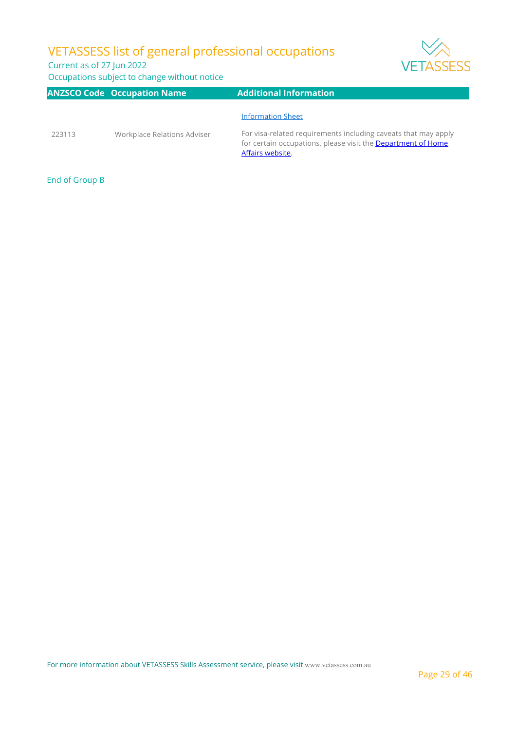### Current as of 27 Jun 2022

Occupations subject to change without notice

| <b>VETASSE</b> |  |
|----------------|--|

|        | <b>ANZSCO Code Occupation Name</b> | <b>Additional Information</b>                                                                                                                             |
|--------|------------------------------------|-----------------------------------------------------------------------------------------------------------------------------------------------------------|
|        |                                    | <b>Information Sheet</b>                                                                                                                                  |
| 223113 | Workplace Relations Adviser        | For visa-related requirements including caveats that may apply<br>for certain occupations, please visit the <b>Department of Home</b><br>Affairs website. |

End of Group B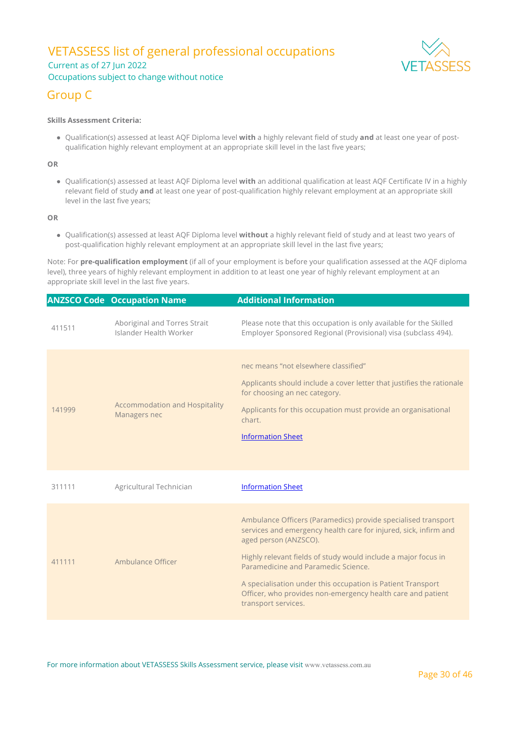### VETASSESS list of general professional occupations Current as of 27 Jun 2022 Occupations subject to change without notice



### Group C

#### **Skills Assessment Criteria:**

Qualification(s) assessed at least AQF Diploma level **with** a highly relevant field of study **and** at least one year of postqualification highly relevant employment at an appropriate skill level in the last five years;

#### **OR**

Qualification(s) assessed at least AQF Diploma level **with** an additional qualification at least AQF Certificate IV in a highly relevant field of study **and** at least one year of post-qualification highly relevant employment at an appropriate skill level in the last five years;

#### **OR**

Qualification(s) assessed at least AQF Diploma level **without** a highly relevant field of study and at least two years of post-qualification highly relevant employment at an appropriate skill level in the last five years;

Note: For **pre-qualification employment** (if all of your employment is before your qualification assessed at the AQF diploma level), three years of highly relevant employment in addition to at least one year of highly relevant employment at an appropriate skill level in the last five years.

|        | <b>ANZSCO Code Occupation Name</b>                     | <b>Additional Information</b>                                                                                                                                                                                                                                                                                                                                                                                            |
|--------|--------------------------------------------------------|--------------------------------------------------------------------------------------------------------------------------------------------------------------------------------------------------------------------------------------------------------------------------------------------------------------------------------------------------------------------------------------------------------------------------|
| 411511 | Aboriginal and Torres Strait<br>Islander Health Worker | Please note that this occupation is only available for the Skilled<br>Employer Sponsored Regional (Provisional) visa (subclass 494).                                                                                                                                                                                                                                                                                     |
| 141999 | <b>Accommodation and Hospitality</b><br>Managers nec   | nec means "not elsewhere classified"<br>Applicants should include a cover letter that justifies the rationale<br>for choosing an nec category.<br>Applicants for this occupation must provide an organisational<br>chart.<br><b>Information Sheet</b>                                                                                                                                                                    |
| 311111 | Agricultural Technician                                | <b>Information Sheet</b>                                                                                                                                                                                                                                                                                                                                                                                                 |
| 411111 | Ambulance Officer                                      | Ambulance Officers (Paramedics) provide specialised transport<br>services and emergency health care for injured, sick, infirm and<br>aged person (ANZSCO).<br>Highly relevant fields of study would include a major focus in<br>Paramedicine and Paramedic Science.<br>A specialisation under this occupation is Patient Transport<br>Officer, who provides non-emergency health care and patient<br>transport services. |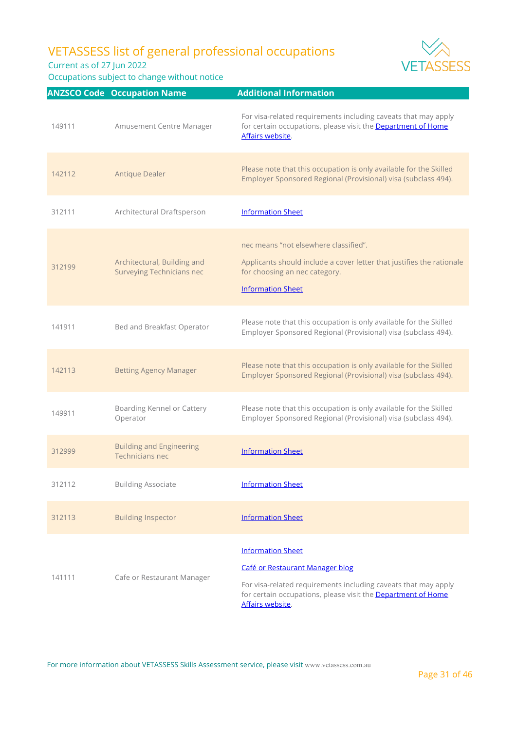Current as of 27 Jun 2022



|        | <b>ANZSCO Code Occupation Name</b>                              | <b>Additional Information</b>                                                                                                                                                                                     |
|--------|-----------------------------------------------------------------|-------------------------------------------------------------------------------------------------------------------------------------------------------------------------------------------------------------------|
| 149111 | Amusement Centre Manager                                        | For visa-related requirements including caveats that may apply<br>for certain occupations, please visit the Department of Home<br>Affairs website.                                                                |
| 142112 | <b>Antique Dealer</b>                                           | Please note that this occupation is only available for the Skilled<br>Employer Sponsored Regional (Provisional) visa (subclass 494).                                                                              |
| 312111 | Architectural Draftsperson                                      | <b>Information Sheet</b>                                                                                                                                                                                          |
| 312199 | Architectural, Building and<br><b>Surveying Technicians nec</b> | nec means "not elsewhere classified".<br>Applicants should include a cover letter that justifies the rationale<br>for choosing an nec category.<br><b>Information Sheet</b>                                       |
| 141911 | Bed and Breakfast Operator                                      | Please note that this occupation is only available for the Skilled<br>Employer Sponsored Regional (Provisional) visa (subclass 494).                                                                              |
| 142113 | <b>Betting Agency Manager</b>                                   | Please note that this occupation is only available for the Skilled<br>Employer Sponsored Regional (Provisional) visa (subclass 494).                                                                              |
| 149911 | Boarding Kennel or Cattery<br>Operator                          | Please note that this occupation is only available for the Skilled<br>Employer Sponsored Regional (Provisional) visa (subclass 494).                                                                              |
| 312999 | <b>Building and Engineering</b><br>Technicians nec              | <b>Information Sheet</b>                                                                                                                                                                                          |
| 312112 | <b>Building Associate</b>                                       | <b>Information Sheet</b>                                                                                                                                                                                          |
| 312113 | <b>Building Inspector</b>                                       | <b>Information Sheet</b>                                                                                                                                                                                          |
| 141111 | Cafe or Restaurant Manager                                      | <b>Information Sheet</b><br>Café or Restaurant Manager blog<br>For visa-related requirements including caveats that may apply<br>for certain occupations, please visit the Department of Home<br>Affairs website. |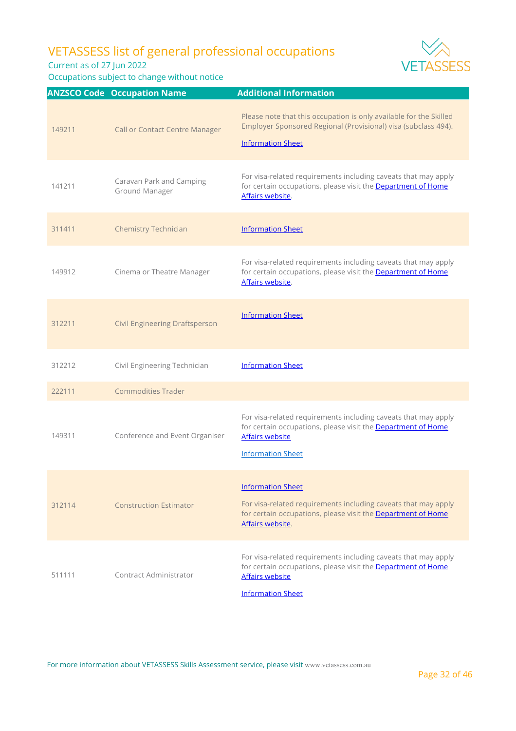Current as of 27 Jun 2022



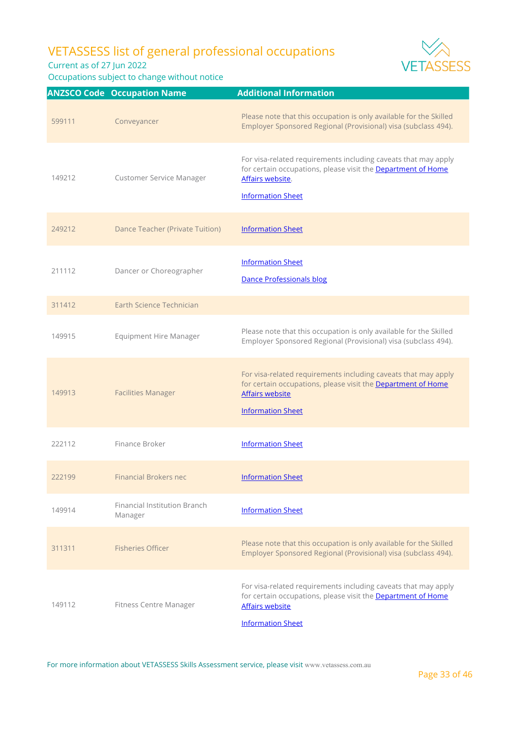Current as of 27 Jun 2022

Occupations subject to change without notice



|        | <b>ANZSCO Code Occupation Name</b>      | <b>Additional Information</b>                                                                                                                                                        |
|--------|-----------------------------------------|--------------------------------------------------------------------------------------------------------------------------------------------------------------------------------------|
| 599111 | Conveyancer                             | Please note that this occupation is only available for the Skilled<br>Employer Sponsored Regional (Provisional) visa (subclass 494).                                                 |
| 149212 | Customer Service Manager                | For visa-related requirements including caveats that may apply<br>for certain occupations, please visit the Department of Home<br>Affairs website.<br><b>Information Sheet</b>       |
| 249212 | <b>Dance Teacher (Private Tuition)</b>  | <b>Information Sheet</b>                                                                                                                                                             |
| 211112 | Dancer or Choreographer                 | <b>Information Sheet</b><br><b>Dance Professionals blog</b>                                                                                                                          |
| 311412 | Earth Science Technician                |                                                                                                                                                                                      |
| 149915 | <b>Equipment Hire Manager</b>           | Please note that this occupation is only available for the Skilled<br>Employer Sponsored Regional (Provisional) visa (subclass 494).                                                 |
| 149913 | <b>Facilities Manager</b>               | For visa-related requirements including caveats that may apply<br>for certain occupations, please visit the Department of Home<br><b>Affairs website</b><br><b>Information Sheet</b> |
| 222112 | Finance Broker                          | <b>Information Sheet</b>                                                                                                                                                             |
| 222199 | <b>Financial Brokers nec</b>            | <b>Information Sheet</b>                                                                                                                                                             |
| 149914 | Financial Institution Branch<br>Manager | <b>Information Sheet</b>                                                                                                                                                             |
| 311311 | <b>Fisheries Officer</b>                | Please note that this occupation is only available for the Skilled<br>Employer Sponsored Regional (Provisional) visa (subclass 494).                                                 |
| 149112 | <b>Fitness Centre Manager</b>           | For visa-related requirements including caveats that may apply<br>for certain occupations, please visit the Department of Home<br><b>Affairs website</b><br><b>Information Sheet</b> |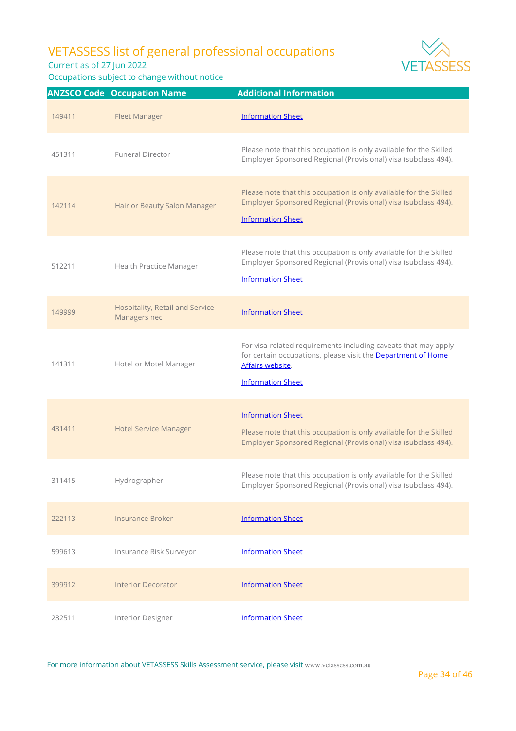

Occupations subject to change without notice



|        | <b>ANZSCO Code Occupation Name</b>              | <b>Additional Information</b>                                                                                                                                                  |
|--------|-------------------------------------------------|--------------------------------------------------------------------------------------------------------------------------------------------------------------------------------|
| 149411 | <b>Fleet Manager</b>                            | <b>Information Sheet</b>                                                                                                                                                       |
| 451311 | <b>Funeral Director</b>                         | Please note that this occupation is only available for the Skilled<br>Employer Sponsored Regional (Provisional) visa (subclass 494).                                           |
| 142114 | Hair or Beauty Salon Manager                    | Please note that this occupation is only available for the Skilled<br>Employer Sponsored Regional (Provisional) visa (subclass 494).<br><b>Information Sheet</b>               |
| 512211 | <b>Health Practice Manager</b>                  | Please note that this occupation is only available for the Skilled<br>Employer Sponsored Regional (Provisional) visa (subclass 494).<br><b>Information Sheet</b>               |
| 149999 | Hospitality, Retail and Service<br>Managers nec | <b>Information Sheet</b>                                                                                                                                                       |
| 141311 | Hotel or Motel Manager                          | For visa-related requirements including caveats that may apply<br>for certain occupations, please visit the Department of Home<br>Affairs website.<br><b>Information Sheet</b> |
| 431411 | <b>Hotel Service Manager</b>                    | <b>Information Sheet</b><br>Please note that this occupation is only available for the Skilled<br>Employer Sponsored Regional (Provisional) visa (subclass 494).               |
| 311415 | Hydrographer                                    | Please note that this occupation is only available for the Skilled<br>Employer Sponsored Regional (Provisional) visa (subclass 494).                                           |
| 222113 | <b>Insurance Broker</b>                         | <b>Information Sheet</b>                                                                                                                                                       |
| 599613 | Insurance Risk Surveyor                         | <b>Information Sheet</b>                                                                                                                                                       |
| 399912 | <b>Interior Decorator</b>                       | <b>Information Sheet</b>                                                                                                                                                       |
| 232511 | Interior Designer                               | <b>Information Sheet</b>                                                                                                                                                       |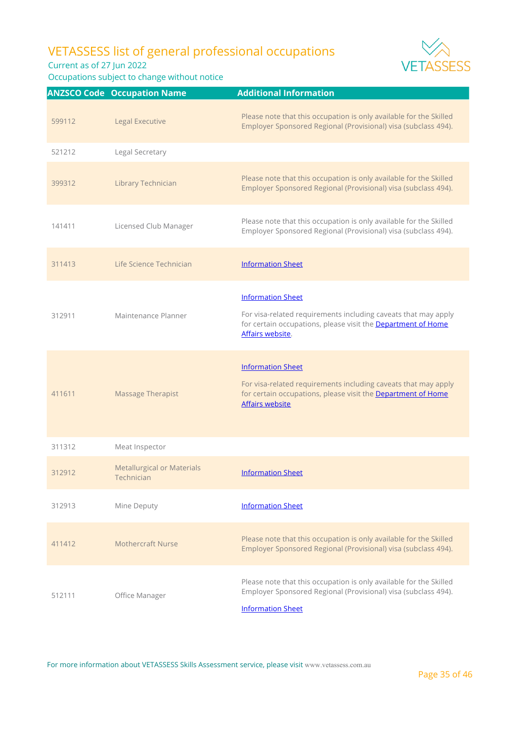Current as of 27 Jun 2022

|        | <b>ANZSCO Code Occupation Name</b>              | <b>Additional Information</b>                                                                                                                                                        |
|--------|-------------------------------------------------|--------------------------------------------------------------------------------------------------------------------------------------------------------------------------------------|
| 599112 | Legal Executive                                 | Please note that this occupation is only available for the Skilled<br>Employer Sponsored Regional (Provisional) visa (subclass 494).                                                 |
| 521212 | Legal Secretary                                 |                                                                                                                                                                                      |
| 399312 | Library Technician                              | Please note that this occupation is only available for the Skilled<br>Employer Sponsored Regional (Provisional) visa (subclass 494).                                                 |
| 141411 | Licensed Club Manager                           | Please note that this occupation is only available for the Skilled<br>Employer Sponsored Regional (Provisional) visa (subclass 494).                                                 |
| 311413 | Life Science Technician                         | <b>Information Sheet</b>                                                                                                                                                             |
| 312911 | Maintenance Planner                             | <b>Information Sheet</b><br>For visa-related requirements including caveats that may apply<br>for certain occupations, please visit the Department of Home<br>Affairs website.       |
| 411611 | <b>Massage Therapist</b>                        | <b>Information Sheet</b><br>For visa-related requirements including caveats that may apply<br>for certain occupations, please visit the Department of Home<br><b>Affairs website</b> |
| 311312 | Meat Inspector                                  |                                                                                                                                                                                      |
| 312912 | <b>Metallurgical or Materials</b><br>Technician | <b>Information Sheet</b>                                                                                                                                                             |
| 312913 | Mine Deputy                                     | <b>Information Sheet</b>                                                                                                                                                             |
| 411412 | Mothercraft Nurse                               | Please note that this occupation is only available for the Skilled<br>Employer Sponsored Regional (Provisional) visa (subclass 494).                                                 |
| 512111 | Office Manager                                  | Please note that this occupation is only available for the Skilled<br>Employer Sponsored Regional (Provisional) visa (subclass 494).<br><b>Information Sheet</b>                     |



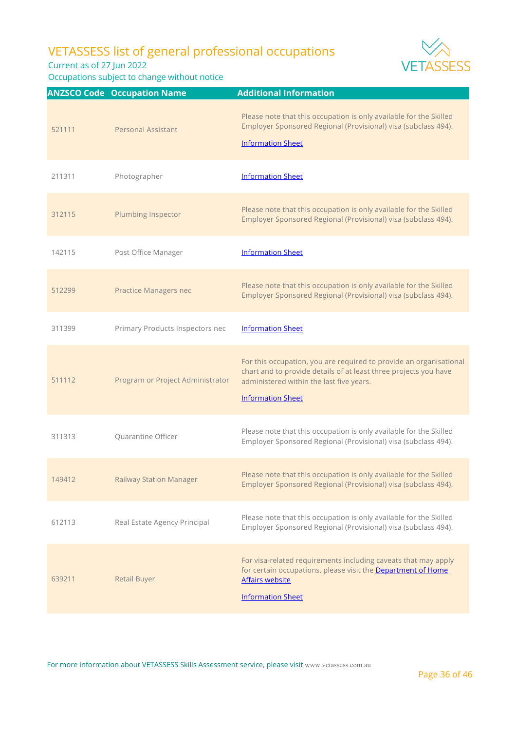Current as of 27 Jun 2022

Occupations subject to change without notice



639211 Retail Buyer For visa-related requirements including caveats that may apply for certain occupations, please visit the **Department of Home** Affairs website [Information Sheet](https://www.vetassess.com.au/Portals/0/Downloads/qualification_assessment/20210526_SRGO%20Infosheet_Retail%20Buyer(1).pdf?ver=2021-06-02-121258-313)

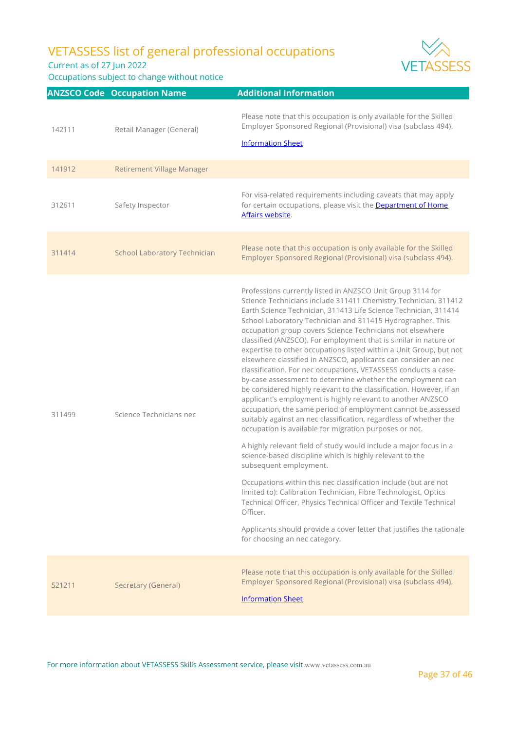Current as of 27 Jun 2022

Occupations subject to change without notice



|        | <b>ANZSCO Code Occupation Name</b>  | <b>Additional Information</b>                                                                                                                                                                                                                                                                                                                                                                                                                                                                                                                                                                                                                                                                                                                                                                                                                                                                                                                                                                                                                                                                                                                                                                                                                                                                                                                                                                                                                                                                               |
|--------|-------------------------------------|-------------------------------------------------------------------------------------------------------------------------------------------------------------------------------------------------------------------------------------------------------------------------------------------------------------------------------------------------------------------------------------------------------------------------------------------------------------------------------------------------------------------------------------------------------------------------------------------------------------------------------------------------------------------------------------------------------------------------------------------------------------------------------------------------------------------------------------------------------------------------------------------------------------------------------------------------------------------------------------------------------------------------------------------------------------------------------------------------------------------------------------------------------------------------------------------------------------------------------------------------------------------------------------------------------------------------------------------------------------------------------------------------------------------------------------------------------------------------------------------------------------|
| 142111 | Retail Manager (General)            | Please note that this occupation is only available for the Skilled<br>Employer Sponsored Regional (Provisional) visa (subclass 494).<br><b>Information Sheet</b>                                                                                                                                                                                                                                                                                                                                                                                                                                                                                                                                                                                                                                                                                                                                                                                                                                                                                                                                                                                                                                                                                                                                                                                                                                                                                                                                            |
| 141912 | <b>Retirement Village Manager</b>   |                                                                                                                                                                                                                                                                                                                                                                                                                                                                                                                                                                                                                                                                                                                                                                                                                                                                                                                                                                                                                                                                                                                                                                                                                                                                                                                                                                                                                                                                                                             |
| 312611 | Safety Inspector                    | For visa-related requirements including caveats that may apply<br>for certain occupations, please visit the Department of Home<br>Affairs website.                                                                                                                                                                                                                                                                                                                                                                                                                                                                                                                                                                                                                                                                                                                                                                                                                                                                                                                                                                                                                                                                                                                                                                                                                                                                                                                                                          |
| 311414 | <b>School Laboratory Technician</b> | Please note that this occupation is only available for the Skilled<br>Employer Sponsored Regional (Provisional) visa (subclass 494).                                                                                                                                                                                                                                                                                                                                                                                                                                                                                                                                                                                                                                                                                                                                                                                                                                                                                                                                                                                                                                                                                                                                                                                                                                                                                                                                                                        |
| 311499 | Science Technicians nec             | Professions currently listed in ANZSCO Unit Group 3114 for<br>Science Technicians include 311411 Chemistry Technician, 311412<br>Earth Science Technician, 311413 Life Science Technician, 311414<br>School Laboratory Technician and 311415 Hydrographer. This<br>occupation group covers Science Technicians not elsewhere<br>classified (ANZSCO). For employment that is similar in nature or<br>expertise to other occupations listed within a Unit Group, but not<br>elsewhere classified in ANZSCO, applicants can consider an nec<br>classification. For nec occupations, VETASSESS conducts a case-<br>by-case assessment to determine whether the employment can<br>be considered highly relevant to the classification. However, if an<br>applicant's employment is highly relevant to another ANZSCO<br>occupation, the same period of employment cannot be assessed<br>suitably against an nec classification, regardless of whether the<br>occupation is available for migration purposes or not.<br>A highly relevant field of study would include a major focus in a<br>science-based discipline which is highly relevant to the<br>subsequent employment.<br>Occupations within this nec classification include (but are not<br>limited to): Calibration Technician, Fibre Technologist, Optics<br>Technical Officer, Physics Technical Officer and Textile Technical<br>Officer.<br>Applicants should provide a cover letter that justifies the rationale<br>for choosing an nec category. |
| 521211 | Secretary (General)                 | Please note that this occupation is only available for the Skilled<br>Employer Sponsored Regional (Provisional) visa (subclass 494).<br><b>Information Sheet</b>                                                                                                                                                                                                                                                                                                                                                                                                                                                                                                                                                                                                                                                                                                                                                                                                                                                                                                                                                                                                                                                                                                                                                                                                                                                                                                                                            |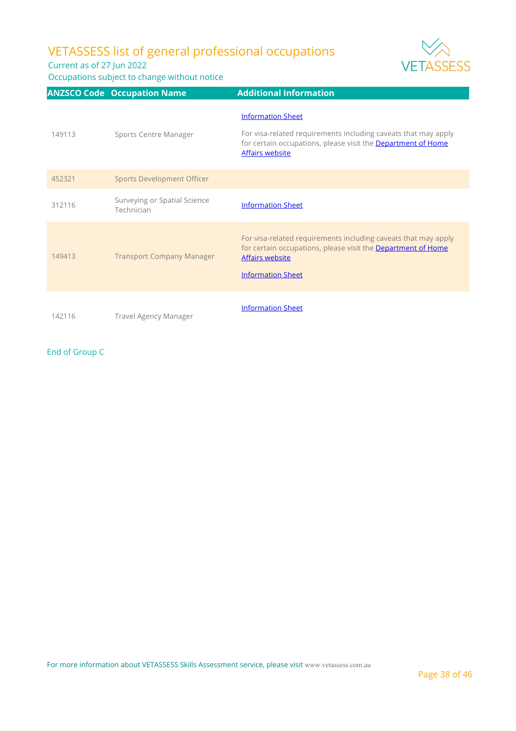Current as of 27 Jun 2022

Occupations subject to change without notice



|        | <b>ANZSCO Code Occupation Name</b>         | <b>Additional Information</b>                                                                                                                                                        |
|--------|--------------------------------------------|--------------------------------------------------------------------------------------------------------------------------------------------------------------------------------------|
| 149113 | Sports Centre Manager                      | <b>Information Sheet</b><br>For visa-related requirements including caveats that may apply<br>for certain occupations, please visit the Department of Home<br>Affairs website        |
| 452321 | <b>Sports Development Officer</b>          |                                                                                                                                                                                      |
| 312116 | Surveying or Spatial Science<br>Technician | <b>Information Sheet</b>                                                                                                                                                             |
| 149413 | <b>Transport Company Manager</b>           | For visa-related requirements including caveats that may apply<br>for certain occupations, please visit the <b>Department of Home</b><br>Affairs website<br><b>Information Sheet</b> |
| 142116 | Travel Agency Manager                      | <b>Information Sheet</b>                                                                                                                                                             |

End of Group C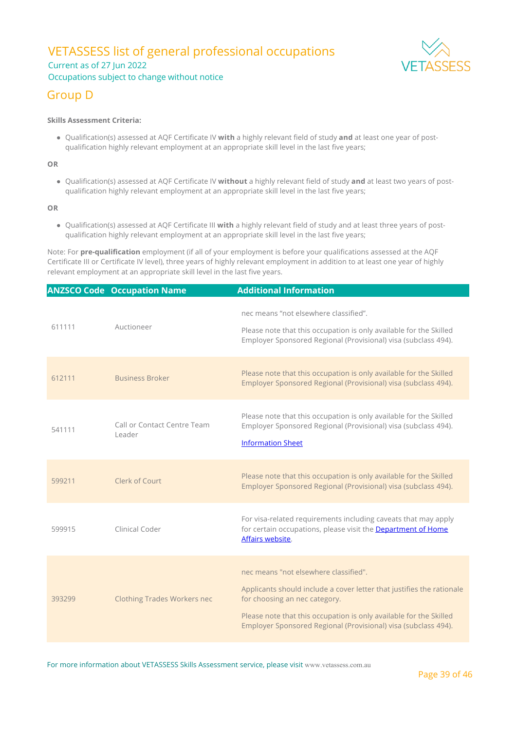### VETASSESS list of general professional occupations Current as of 27 Jun 2022

### Occupations subject to change without notice

### Group D

#### **Skills Assessment Criteria:**

Qualification(s) assessed at AQF Certificate IV **with** a highly relevant field of study **and** at least one year of postqualification highly relevant employment at an appropriate skill level in the last five years;

**OR**

Qualification(s) assessed at AQF Certificate IV **without** a highly relevant field of study **and** at least two years of postqualification highly relevant employment at an appropriate skill level in the last five years;

**OR**

Qualification(s) assessed at AQF Certificate III **with** a highly relevant field of study and at least three years of postqualification highly relevant employment at an appropriate skill level in the last five years;

Note: For **pre-qualification** employment (if all of your employment is before your qualifications assessed at the AQF Certificate III or Certificate IV level), three years of highly relevant employment in addition to at least one year of highly relevant employment at an appropriate skill level in the last five years.

|        | <b>ANZSCO Code Occupation Name</b>    | <b>Additional Information</b>                                                                                                                                                                                                                                                           |
|--------|---------------------------------------|-----------------------------------------------------------------------------------------------------------------------------------------------------------------------------------------------------------------------------------------------------------------------------------------|
| 611111 | Auctioneer                            | nec means "not elsewhere classified".<br>Please note that this occupation is only available for the Skilled<br>Employer Sponsored Regional (Provisional) visa (subclass 494).                                                                                                           |
| 612111 | <b>Business Broker</b>                | Please note that this occupation is only available for the Skilled<br>Employer Sponsored Regional (Provisional) visa (subclass 494).                                                                                                                                                    |
| 541111 | Call or Contact Centre Team<br>Leader | Please note that this occupation is only available for the Skilled<br>Employer Sponsored Regional (Provisional) visa (subclass 494).<br><b>Information Sheet</b>                                                                                                                        |
| 599211 | Clerk of Court                        | Please note that this occupation is only available for the Skilled<br>Employer Sponsored Regional (Provisional) visa (subclass 494).                                                                                                                                                    |
| 599915 | Clinical Coder                        | For visa-related requirements including caveats that may apply<br>for certain occupations, please visit the <b>Department of Home</b><br>Affairs website.                                                                                                                               |
| 393299 | <b>Clothing Trades Workers nec</b>    | nec means "not elsewhere classified".<br>Applicants should include a cover letter that justifies the rationale<br>for choosing an nec category.<br>Please note that this occupation is only available for the Skilled<br>Employer Sponsored Regional (Provisional) visa (subclass 494). |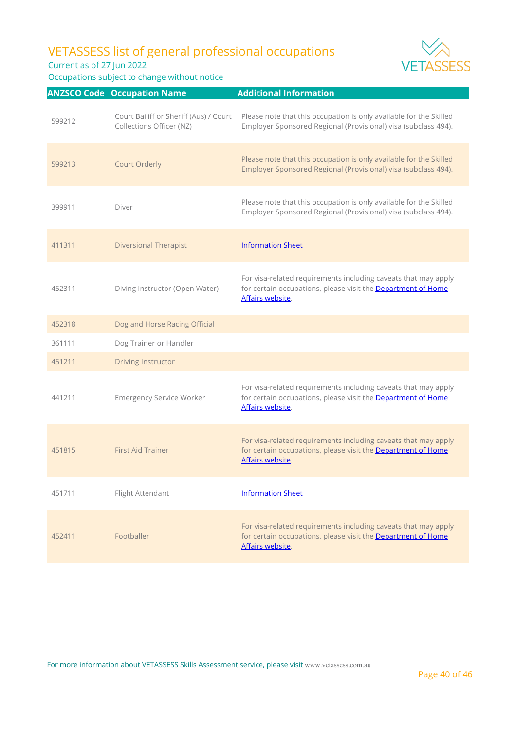Current as of 27 Jun 2022





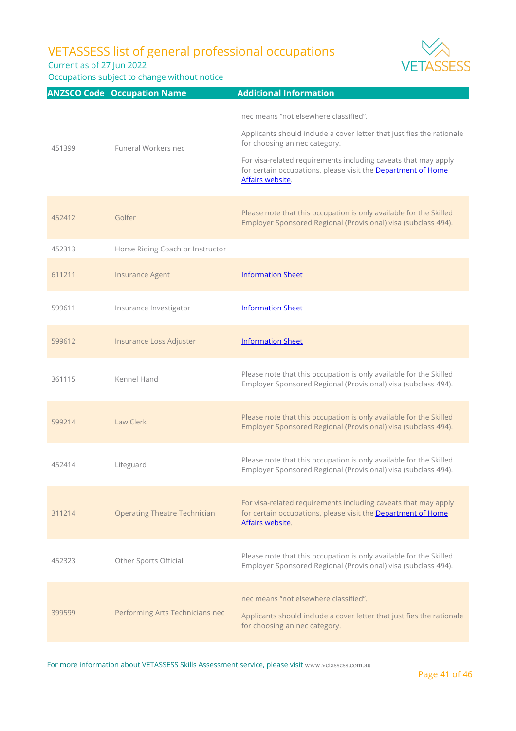Current as of 27 Jun 2022

Occupations subject to change without notice



|        | <b>ANZSCO Code Occupation Name</b>  | <b>Additional Information</b>                                                                                                                      |
|--------|-------------------------------------|----------------------------------------------------------------------------------------------------------------------------------------------------|
|        |                                     | nec means "not elsewhere classified".<br>Applicants should include a cover letter that justifies the rationale<br>for choosing an nec category.    |
| 451399 | Funeral Workers nec                 | For visa-related requirements including caveats that may apply<br>for certain occupations, please visit the Department of Home<br>Affairs website. |
| 452412 | Golfer                              | Please note that this occupation is only available for the Skilled<br>Employer Sponsored Regional (Provisional) visa (subclass 494).               |
| 452313 | Horse Riding Coach or Instructor    |                                                                                                                                                    |
| 611211 | <b>Insurance Agent</b>              | <b>Information Sheet</b>                                                                                                                           |
| 599611 | Insurance Investigator              | <b>Information Sheet</b>                                                                                                                           |
| 599612 | Insurance Loss Adjuster             | <b>Information Sheet</b>                                                                                                                           |
| 361115 | Kennel Hand                         | Please note that this occupation is only available for the Skilled<br>Employer Sponsored Regional (Provisional) visa (subclass 494).               |
| 599214 | Law Clerk                           | Please note that this occupation is only available for the Skilled<br>Employer Sponsored Regional (Provisional) visa (subclass 494).               |
| 452414 | Lifeguard                           | Please note that this occupation is only available for the Skilled<br>Employer Sponsored Regional (Provisional) visa (subclass 494).               |
| 311214 | <b>Operating Theatre Technician</b> | For visa-related requirements including caveats that may apply<br>for certain occupations, please visit the Department of Home<br>Affairs website. |
| 452323 | Other Sports Official               | Please note that this occupation is only available for the Skilled<br>Employer Sponsored Regional (Provisional) visa (subclass 494).               |
| 399599 | Performing Arts Technicians nec     | nec means "not elsewhere classified".<br>Applicants should include a cover letter that justifies the rationale<br>for choosing an nec category.    |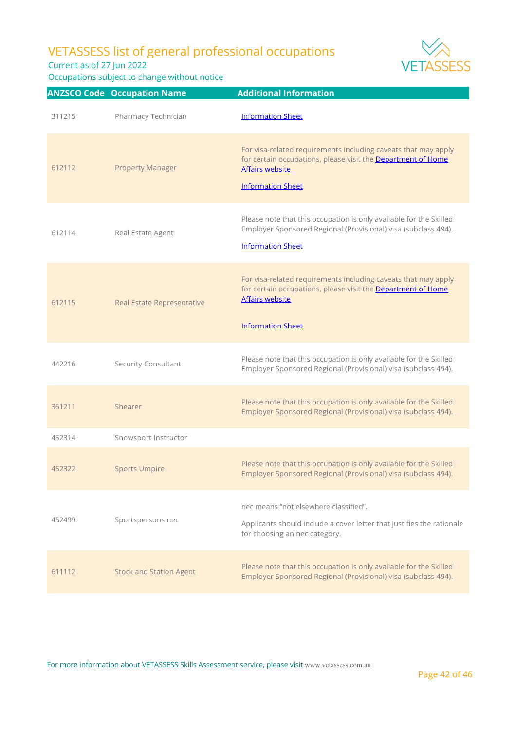Current as of 27 Jun 2022



|        | <b>ANZSCO Code Occupation Name</b> | <b>Additional Information</b>                                                                                                                                                        |
|--------|------------------------------------|--------------------------------------------------------------------------------------------------------------------------------------------------------------------------------------|
| 311215 | Pharmacy Technician                | <b>Information Sheet</b>                                                                                                                                                             |
| 612112 | <b>Property Manager</b>            | For visa-related requirements including caveats that may apply<br>for certain occupations, please visit the Department of Home<br><b>Affairs website</b><br><b>Information Sheet</b> |
| 612114 | Real Estate Agent                  | Please note that this occupation is only available for the Skilled<br>Employer Sponsored Regional (Provisional) visa (subclass 494).<br><b>Information Sheet</b>                     |
| 612115 | Real Estate Representative         | For visa-related requirements including caveats that may apply<br>for certain occupations, please visit the Department of Home<br><b>Affairs website</b><br><b>Information Sheet</b> |
| 442216 | Security Consultant                | Please note that this occupation is only available for the Skilled<br>Employer Sponsored Regional (Provisional) visa (subclass 494).                                                 |
| 361211 | Shearer                            | Please note that this occupation is only available for the Skilled<br>Employer Sponsored Regional (Provisional) visa (subclass 494).                                                 |
| 452314 | Snowsport Instructor               |                                                                                                                                                                                      |
| 452322 | <b>Sports Umpire</b>               | Please note that this occupation is only available for the Skilled<br>Employer Sponsored Regional (Provisional) visa (subclass 494).                                                 |
| 452499 | Sportspersons nec                  | nec means "not elsewhere classified".<br>Applicants should include a cover letter that justifies the rationale<br>for choosing an nec category.                                      |
| 611112 | <b>Stock and Station Agent</b>     | Please note that this occupation is only available for the Skilled<br>Employer Sponsored Regional (Provisional) visa (subclass 494).                                                 |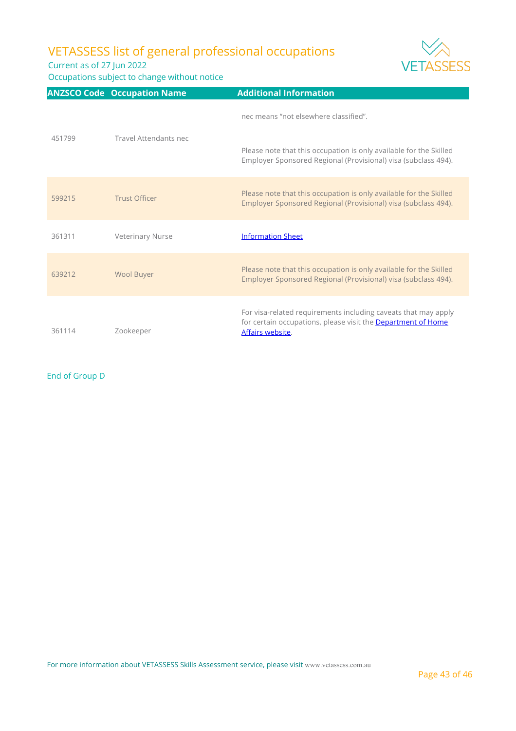Current as of 27 Jun 2022

Occupations subject to change without notice



|        | <b>ANZSCO Code Occupation Name</b> | <b>Additional Information</b>                                                                                                                      |
|--------|------------------------------------|----------------------------------------------------------------------------------------------------------------------------------------------------|
| 451799 | Travel Attendants nec              | nec means "not elsewhere classified".                                                                                                              |
|        |                                    | Please note that this occupation is only available for the Skilled<br>Employer Sponsored Regional (Provisional) visa (subclass 494).               |
| 599215 | <b>Trust Officer</b>               | Please note that this occupation is only available for the Skilled<br>Employer Sponsored Regional (Provisional) visa (subclass 494).               |
| 361311 | <b>Veterinary Nurse</b>            | <b>Information Sheet</b>                                                                                                                           |
| 639212 | Wool Buyer                         | Please note that this occupation is only available for the Skilled<br>Employer Sponsored Regional (Provisional) visa (subclass 494).               |
| 361114 | Zookeeper                          | For visa-related requirements including caveats that may apply<br>for certain occupations, please visit the Department of Home<br>Affairs website. |

End of Group D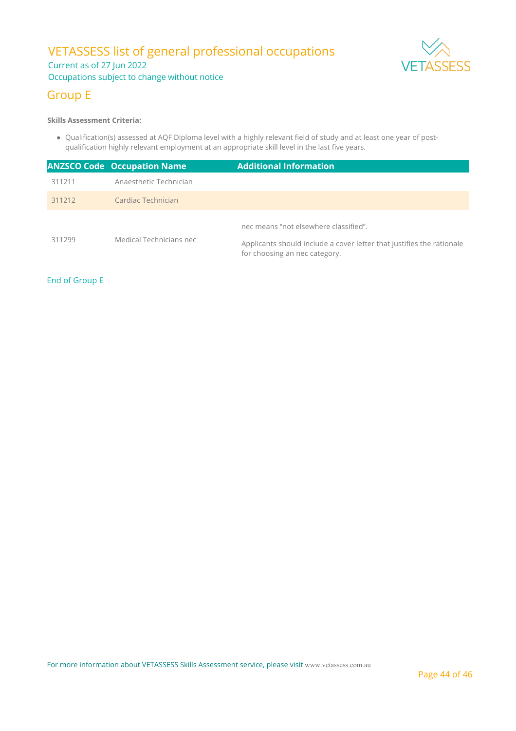### VETASSESS list of general professional occupations Current as of 27 Jun 2022 Occupations subject to change without notice



### Group E

#### **Skills Assessment Criteria:**

Qualification(s) assessed at AQF Diploma level with a highly relevant field of study and at least one year of postqualification highly relevant employment at an appropriate skill level in the last five years.

|        | <b>ANZSCO Code Occupation Name</b> | <b>Additional Information</b>                                                                                                                   |
|--------|------------------------------------|-------------------------------------------------------------------------------------------------------------------------------------------------|
| 311211 | Anaesthetic Technician             |                                                                                                                                                 |
| 311212 | Cardiac Technician                 |                                                                                                                                                 |
| 311299 | Medical Technicians nec            | nec means "not elsewhere classified".<br>Applicants should include a cover letter that justifies the rationale<br>for choosing an nec category. |

### End of Group E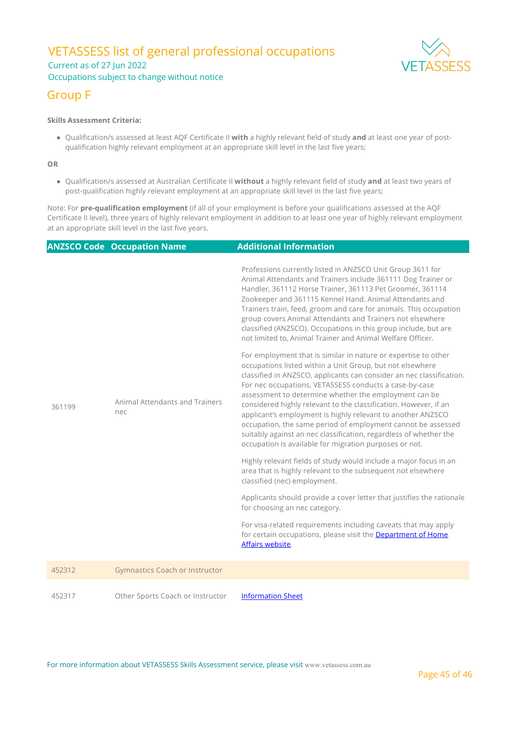### VETASSESS list of general professional occupations Current as of 27 Jun 2022 Occupations subject to change without notice



### Group F

#### **Skills Assessment Criteria:**

Qualification/s assessed at least AQF Certificate II **with** a highly relevant field of study **and** at least one year of postqualification highly relevant employment at an appropriate skill level in the last five years;

**OR**

Qualification/s assessed at Australian Certificate II **without** a highly relevant field of study **and** at least two years of post-qualification highly relevant employment at an appropriate skill level in the last five years;

Note: For **pre-qualification employment** (if all of your employment is before your qualifications assessed at the AQF Certificate II level), three years of highly relevant employment in addition to at least one year of highly relevant employment at an appropriate skill level in the last five years.

|        | <b>ANZSCO Code Occupation Name</b>    | Additional Information                                                                                                                                                                                                                                                                                                                                                                                                                                                                                                                                                                                                                                   |
|--------|---------------------------------------|----------------------------------------------------------------------------------------------------------------------------------------------------------------------------------------------------------------------------------------------------------------------------------------------------------------------------------------------------------------------------------------------------------------------------------------------------------------------------------------------------------------------------------------------------------------------------------------------------------------------------------------------------------|
| 361199 | Animal Attendants and Trainers<br>nec | Professions currently listed in ANZSCO Unit Group 3611 for<br>Animal Attendants and Trainers include 361111 Dog Trainer or<br>Handler, 361112 Horse Trainer, 361113 Pet Groomer, 361114<br>Zookeeper and 361115 Kennel Hand. Animal Attendants and<br>Trainers train, feed, groom and care for animals. This occupation<br>group covers Animal Attendants and Trainers not elsewhere<br>classified (ANZSCO). Occupations in this group include, but are<br>not limited to, Animal Trainer and Animal Welfare Officer.                                                                                                                                    |
|        |                                       | For employment that is similar in nature or expertise to other<br>occupations listed within a Unit Group, but not elsewhere<br>classified in ANZSCO, applicants can consider an nec classification.<br>For nec occupations, VETASSESS conducts a case-by-case<br>assessment to determine whether the employment can be<br>considered highly relevant to the classification. However, if an<br>applicant's employment is highly relevant to another ANZSCO<br>occupation, the same period of employment cannot be assessed<br>suitably against an nec classification, regardless of whether the<br>occupation is available for migration purposes or not. |
|        |                                       | Highly relevant fields of study would include a major focus in an<br>area that is highly relevant to the subsequent not elsewhere<br>classified (nec) employment.                                                                                                                                                                                                                                                                                                                                                                                                                                                                                        |
|        |                                       | Applicants should provide a cover letter that justifies the rationale<br>for choosing an nec category.                                                                                                                                                                                                                                                                                                                                                                                                                                                                                                                                                   |
|        |                                       | For visa-related requirements including caveats that may apply<br>for certain occupations, please visit the Department of Home<br>Affairs website.                                                                                                                                                                                                                                                                                                                                                                                                                                                                                                       |
| 452312 | <b>Gymnastics Coach or Instructor</b> |                                                                                                                                                                                                                                                                                                                                                                                                                                                                                                                                                                                                                                                          |
| 452317 | Other Sports Coach or Instructor      | <b>Information Sheet</b>                                                                                                                                                                                                                                                                                                                                                                                                                                                                                                                                                                                                                                 |